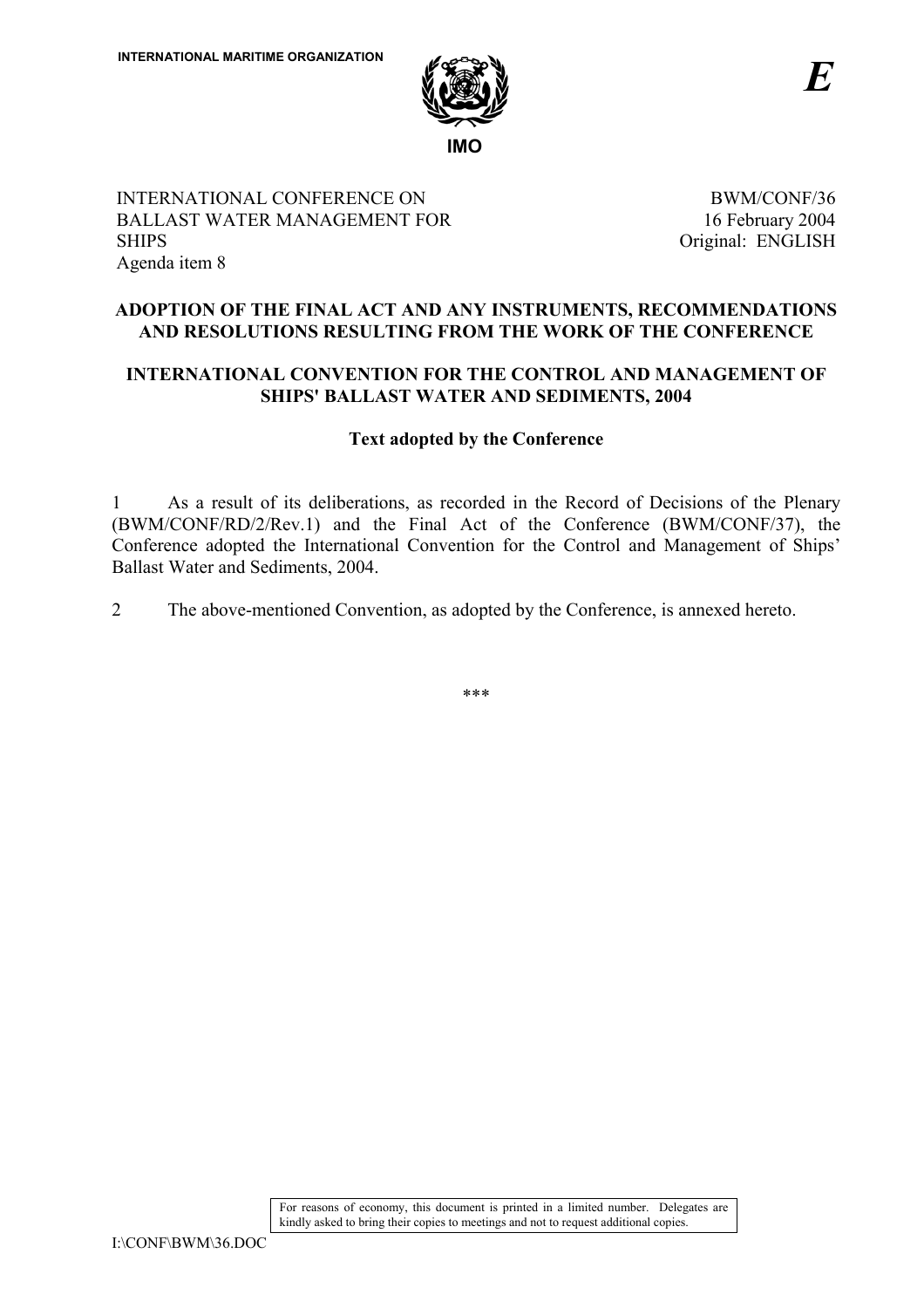

INTERNATIONAL CONFERENCE ON BWM/CONF/36 BALLAST WATER MANAGEMENT FOR 16 February 2004 SHIPS Original: ENGLISH Agenda item 8

### **ADOPTION OF THE FINAL ACT AND ANY INSTRUMENTS, RECOMMENDATIONS AND RESOLUTIONS RESULTING FROM THE WORK OF THE CONFERENCE**

## **INTERNATIONAL CONVENTION FOR THE CONTROL AND MANAGEMENT OF SHIPS' BALLAST WATER AND SEDIMENTS, 2004**

## **Text adopted by the Conference**

1 As a result of its deliberations, as recorded in the Record of Decisions of the Plenary (BWM/CONF/RD/2/Rev.1) and the Final Act of the Conference (BWM/CONF/37), the Conference adopted the International Convention for the Control and Management of Ships' Ballast Water and Sediments, 2004.

2 The above-mentioned Convention, as adopted by the Conference, is annexed hereto.

\*\*\*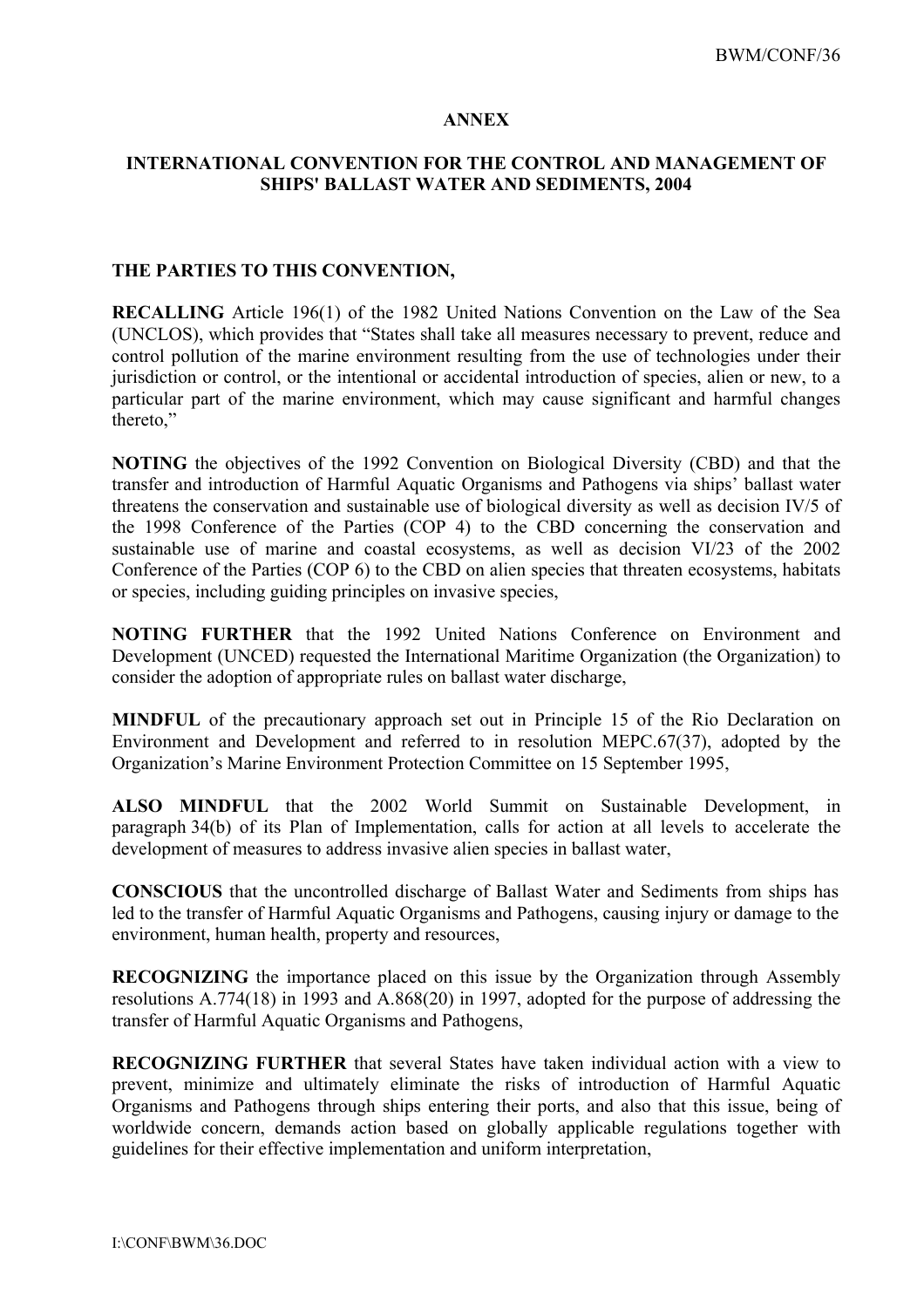#### **ANNEX**

#### **INTERNATIONAL CONVENTION FOR THE CONTROL AND MANAGEMENT OF SHIPS' BALLAST WATER AND SEDIMENTS, 2004**

#### **THE PARTIES TO THIS CONVENTION,**

**RECALLING** Article 196(1) of the 1982 United Nations Convention on the Law of the Sea (UNCLOS), which provides that "States shall take all measures necessary to prevent, reduce and control pollution of the marine environment resulting from the use of technologies under their jurisdiction or control, or the intentional or accidental introduction of species, alien or new, to a particular part of the marine environment, which may cause significant and harmful changes thereto,"

**NOTING** the objectives of the 1992 Convention on Biological Diversity (CBD) and that the transfer and introduction of Harmful Aquatic Organisms and Pathogens via ships' ballast water threatens the conservation and sustainable use of biological diversity as well as decision IV/5 of the 1998 Conference of the Parties (COP 4) to the CBD concerning the conservation and sustainable use of marine and coastal ecosystems, as well as decision VI/23 of the 2002 Conference of the Parties (COP 6) to the CBD on alien species that threaten ecosystems, habitats or species, including guiding principles on invasive species,

**NOTING FURTHER** that the 1992 United Nations Conference on Environment and Development (UNCED) requested the International Maritime Organization (the Organization) to consider the adoption of appropriate rules on ballast water discharge,

**MINDFUL** of the precautionary approach set out in Principle 15 of the Rio Declaration on Environment and Development and referred to in resolution MEPC.67(37), adopted by the Organization's Marine Environment Protection Committee on 15 September 1995,

**ALSO MINDFUL** that the 2002 World Summit on Sustainable Development, in paragraph 34(b) of its Plan of Implementation, calls for action at all levels to accelerate the development of measures to address invasive alien species in ballast water,

**CONSCIOUS** that the uncontrolled discharge of Ballast Water and Sediments from ships has led to the transfer of Harmful Aquatic Organisms and Pathogens, causing injury or damage to the environment, human health, property and resources,

**RECOGNIZING** the importance placed on this issue by the Organization through Assembly resolutions A.774(18) in 1993 and A.868(20) in 1997, adopted for the purpose of addressing the transfer of Harmful Aquatic Organisms and Pathogens,

**RECOGNIZING FURTHER** that several States have taken individual action with a view to prevent, minimize and ultimately eliminate the risks of introduction of Harmful Aquatic Organisms and Pathogens through ships entering their ports, and also that this issue, being of worldwide concern, demands action based on globally applicable regulations together with guidelines for their effective implementation and uniform interpretation,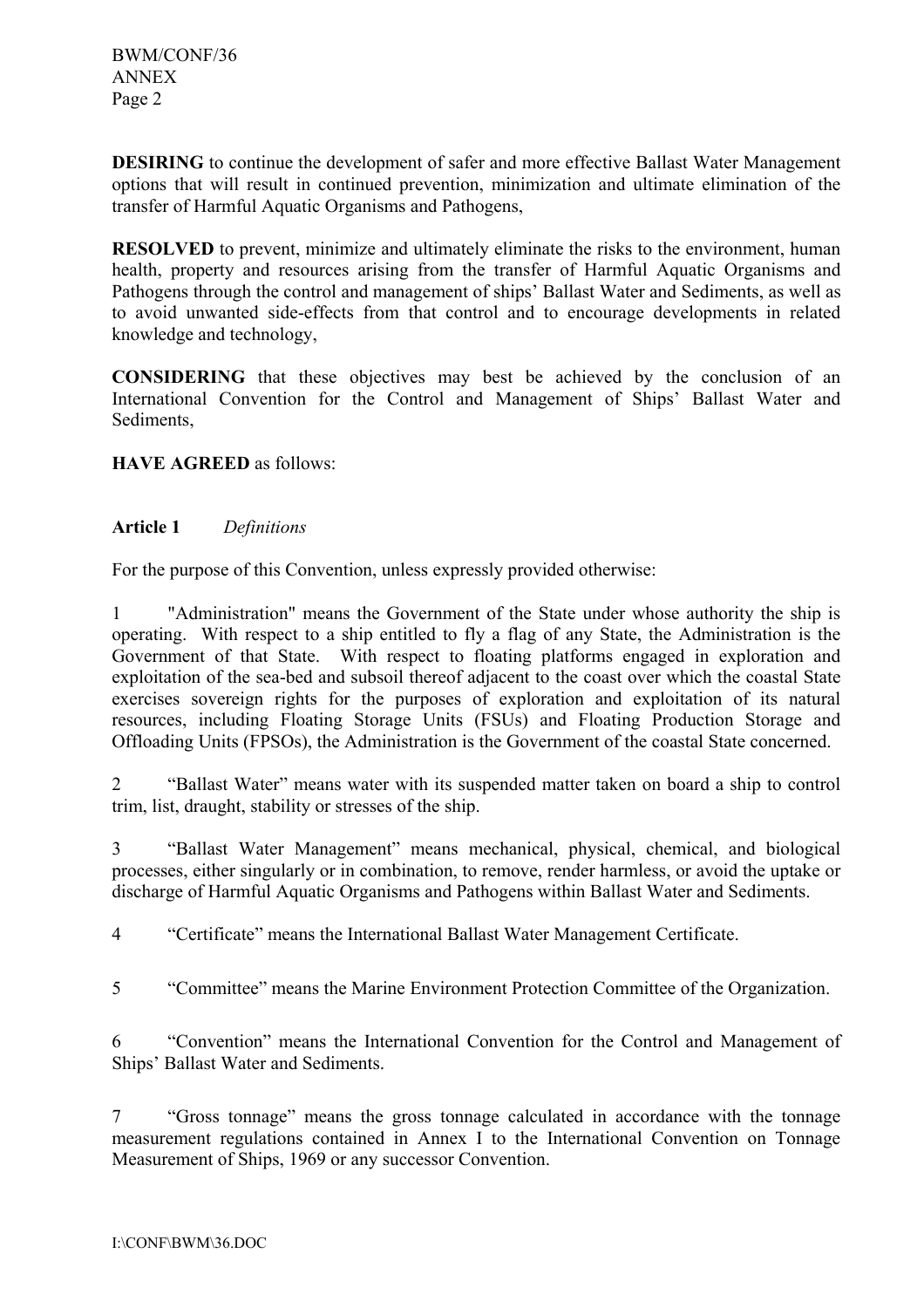**DESIRING** to continue the development of safer and more effective Ballast Water Management options that will result in continued prevention, minimization and ultimate elimination of the transfer of Harmful Aquatic Organisms and Pathogens,

**RESOLVED** to prevent, minimize and ultimately eliminate the risks to the environment, human health, property and resources arising from the transfer of Harmful Aquatic Organisms and Pathogens through the control and management of ships' Ballast Water and Sediments, as well as to avoid unwanted side-effects from that control and to encourage developments in related knowledge and technology,

**CONSIDERING** that these objectives may best be achieved by the conclusion of an International Convention for the Control and Management of Ships' Ballast Water and Sediments,

**HAVE AGREED** as follows:

## **Article 1** *Definitions*

For the purpose of this Convention, unless expressly provided otherwise:

1 "Administration" means the Government of the State under whose authority the ship is operating. With respect to a ship entitled to fly a flag of any State, the Administration is the Government of that State. With respect to floating platforms engaged in exploration and exploitation of the sea-bed and subsoil thereof adjacent to the coast over which the coastal State exercises sovereign rights for the purposes of exploration and exploitation of its natural resources, including Floating Storage Units (FSUs) and Floating Production Storage and Offloading Units (FPSOs), the Administration is the Government of the coastal State concerned.

<sup>2</sup> <sup>"Ballast Water" means water with its suspended matter taken on board a ship to control</sup> trim, list, draught, stability or stresses of the ship.

3 —Ballast Water Management" means mechanical, physical, chemical, and biological processes, either singularly or in combination, to remove, render harmless, or avoid the uptake or discharge of Harmful Aquatic Organisms and Pathogens within Ballast Water and Sediments.

4 —Certificate" means the International Ballast Water Management Certificate.

5 —Committee" means the Marine Environment Protection Committee of the Organization.

6 —Convention" means the International Convention for the Control and Management of Ships' Ballast Water and Sediments.

—Gross tonnage" means the gross tonnage calculated in accordance with the tonnage measurement regulations contained in Annex I to the International Convention on Tonnage Measurement of Ships, 1969 or any successor Convention. 7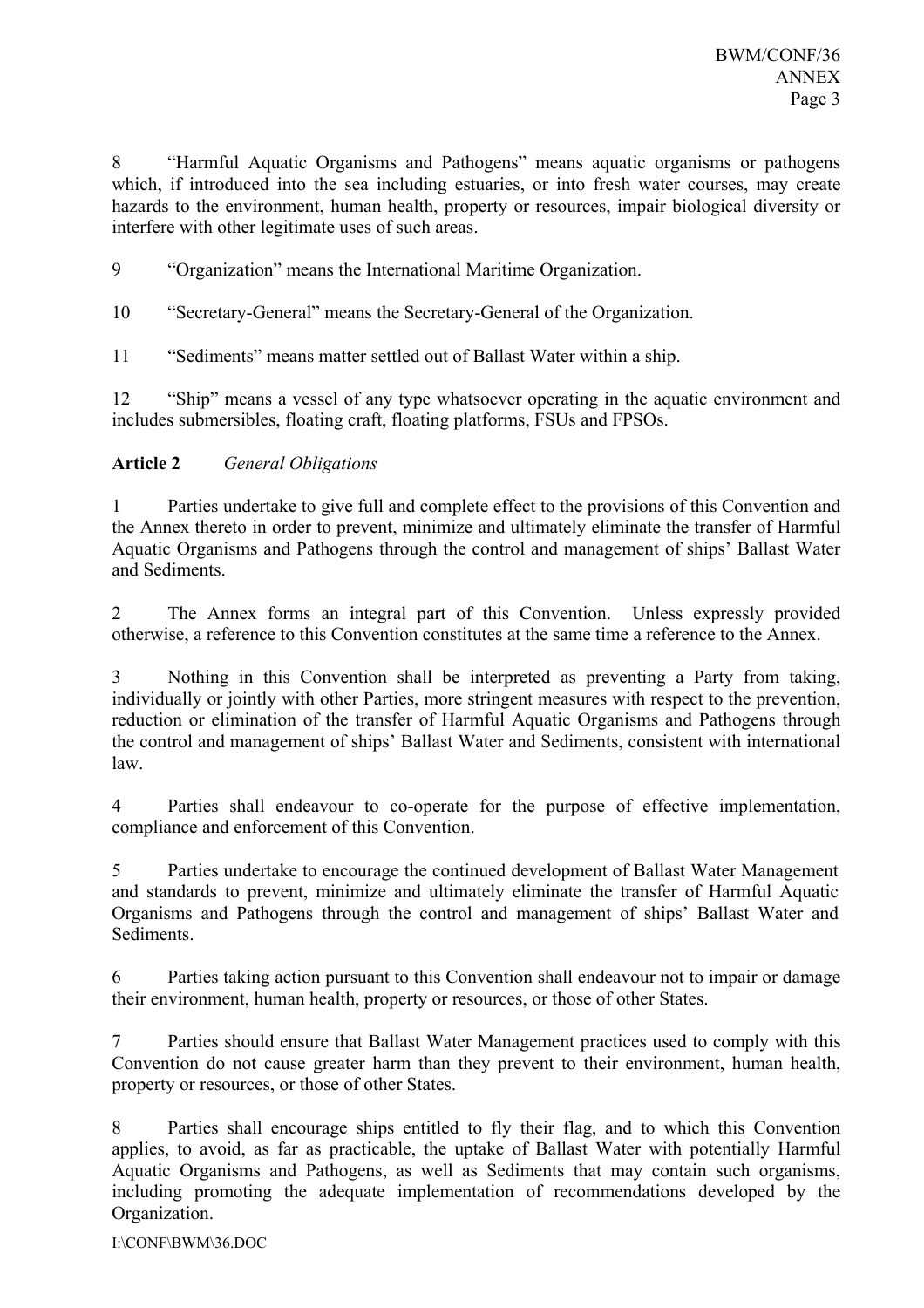8 —Harmful Aquatic Organisms and Pathogens" means aquatic organisms or pathogens which, if introduced into the sea including estuaries, or into fresh water courses, may create hazards to the environment, human health, property or resources, impair biological diversity or interfere with other legitimate uses of such areas.

9 "Organization" means the International Maritime Organization.

10 •• "Secretary-General" means the Secretary-General of the Organization.

11 "Sediments" means matter settled out of Ballast Water within a ship.

12 "Ship" means a vessel of any type whatsoever operating in the aquatic environment and includes submersibles, floating craft, floating platforms, FSUs and FPSOs.

## **Article 2** *General Obligations*

1 Parties undertake to give full and complete effect to the provisions of this Convention and the Annex thereto in order to prevent, minimize and ultimately eliminate the transfer of Harmful Aquatic Organisms and Pathogens through the control and management of ships' Ballast Water and Sediments.

2 The Annex forms an integral part of this Convention. Unless expressly provided otherwise, a reference to this Convention constitutes at the same time a reference to the Annex.

3 Nothing in this Convention shall be interpreted as preventing a Party from taking, individually or jointly with other Parties, more stringent measures with respect to the prevention, reduction or elimination of the transfer of Harmful Aquatic Organisms and Pathogens through the control and management of ships' Ballast Water and Sediments, consistent with international law.

4 Parties shall endeavour to co-operate for the purpose of effective implementation, compliance and enforcement of this Convention.

5 Parties undertake to encourage the continued development of Ballast Water Management and standards to prevent, minimize and ultimately eliminate the transfer of Harmful Aquatic Organisms and Pathogens through the control and management of ships' Ballast Water and **Sediments** 

6 Parties taking action pursuant to this Convention shall endeavour not to impair or damage their environment, human health, property or resources, or those of other States.

7 Parties should ensure that Ballast Water Management practices used to comply with this Convention do not cause greater harm than they prevent to their environment, human health, property or resources, or those of other States.

8 Parties shall encourage ships entitled to fly their flag, and to which this Convention applies, to avoid, as far as practicable, the uptake of Ballast Water with potentially Harmful Aquatic Organisms and Pathogens, as well as Sediments that may contain such organisms, including promoting the adequate implementation of recommendations developed by the Organization.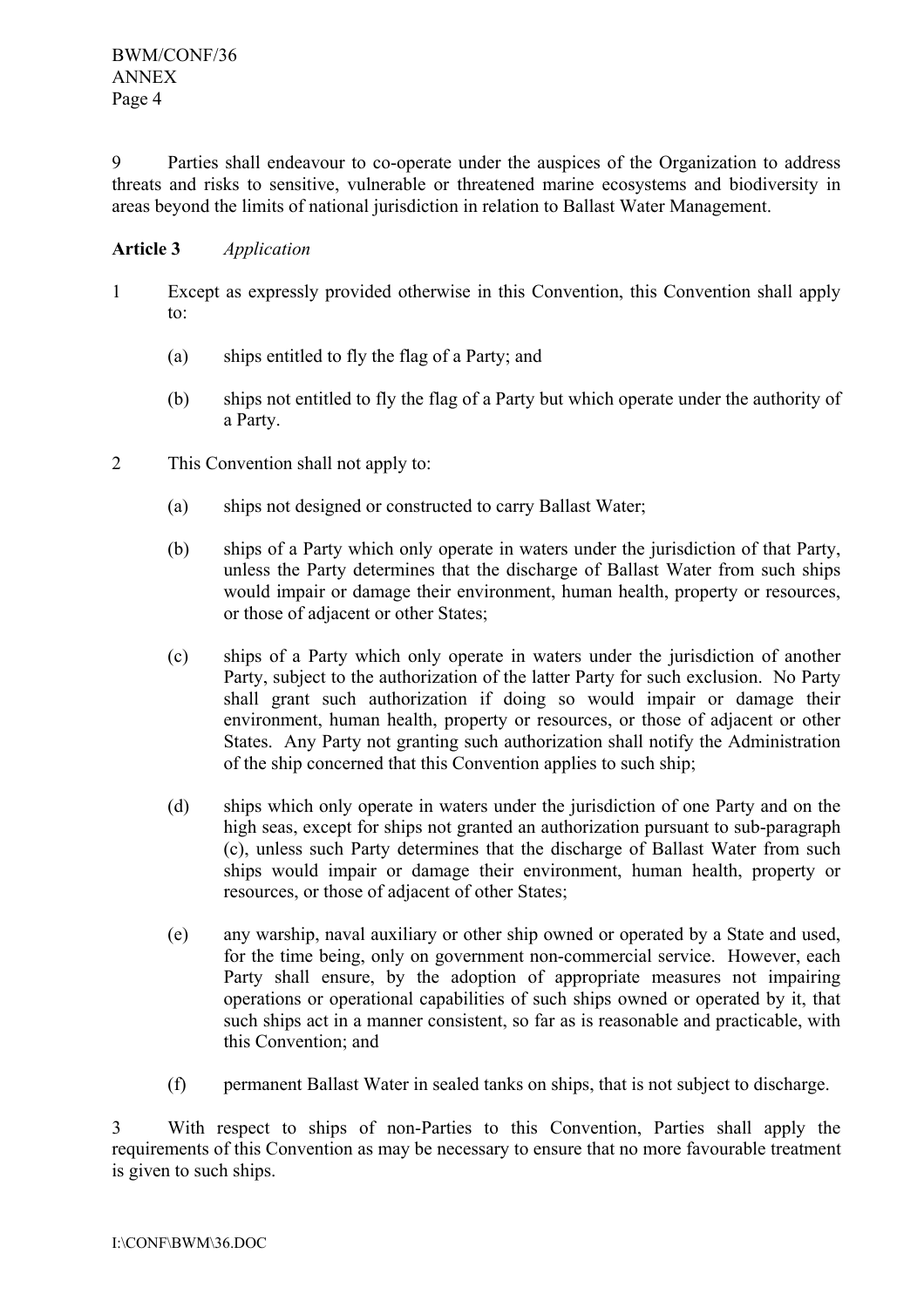9 Parties shall endeavour to co-operate under the auspices of the Organization to address threats and risks to sensitive, vulnerable or threatened marine ecosystems and biodiversity in areas beyond the limits of national jurisdiction in relation to Ballast Water Management.

#### **Article 3** *Application*

- 1 Except as expressly provided otherwise in this Convention, this Convention shall apply to:
	- (a) ships entitled to fly the flag of a Party; and
	- (b) ships not entitled to fly the flag of a Party but which operate under the authority of a Party.
- 2 This Convention shall not apply to:
	- (a) ships not designed or constructed to carry Ballast Water;
	- (b) ships of a Party which only operate in waters under the jurisdiction of that Party, unless the Party determines that the discharge of Ballast Water from such ships would impair or damage their environment, human health, property or resources, or those of adjacent or other States;
	- (c) ships of a Party which only operate in waters under the jurisdiction of another Party, subject to the authorization of the latter Party for such exclusion. No Party shall grant such authorization if doing so would impair or damage their environment, human health, property or resources, or those of adjacent or other States. Any Party not granting such authorization shall notify the Administration of the ship concerned that this Convention applies to such ship;
	- (d) ships which only operate in waters under the jurisdiction of one Party and on the high seas, except for ships not granted an authorization pursuant to sub-paragraph (c), unless such Party determines that the discharge of Ballast Water from such ships would impair or damage their environment, human health, property or resources, or those of adjacent of other States;
	- (e) any warship, naval auxiliary or other ship owned or operated by a State and used, for the time being, only on government non-commercial service. However, each Party shall ensure, by the adoption of appropriate measures not impairing operations or operational capabilities of such ships owned or operated by it, that such ships act in a manner consistent, so far as is reasonable and practicable, with this Convention; and
	- (f) permanent Ballast Water in sealed tanks on ships, that is not subject to discharge.

3 With respect to ships of non-Parties to this Convention, Parties shall apply the requirements of this Convention as may be necessary to ensure that no more favourable treatment is given to such ships.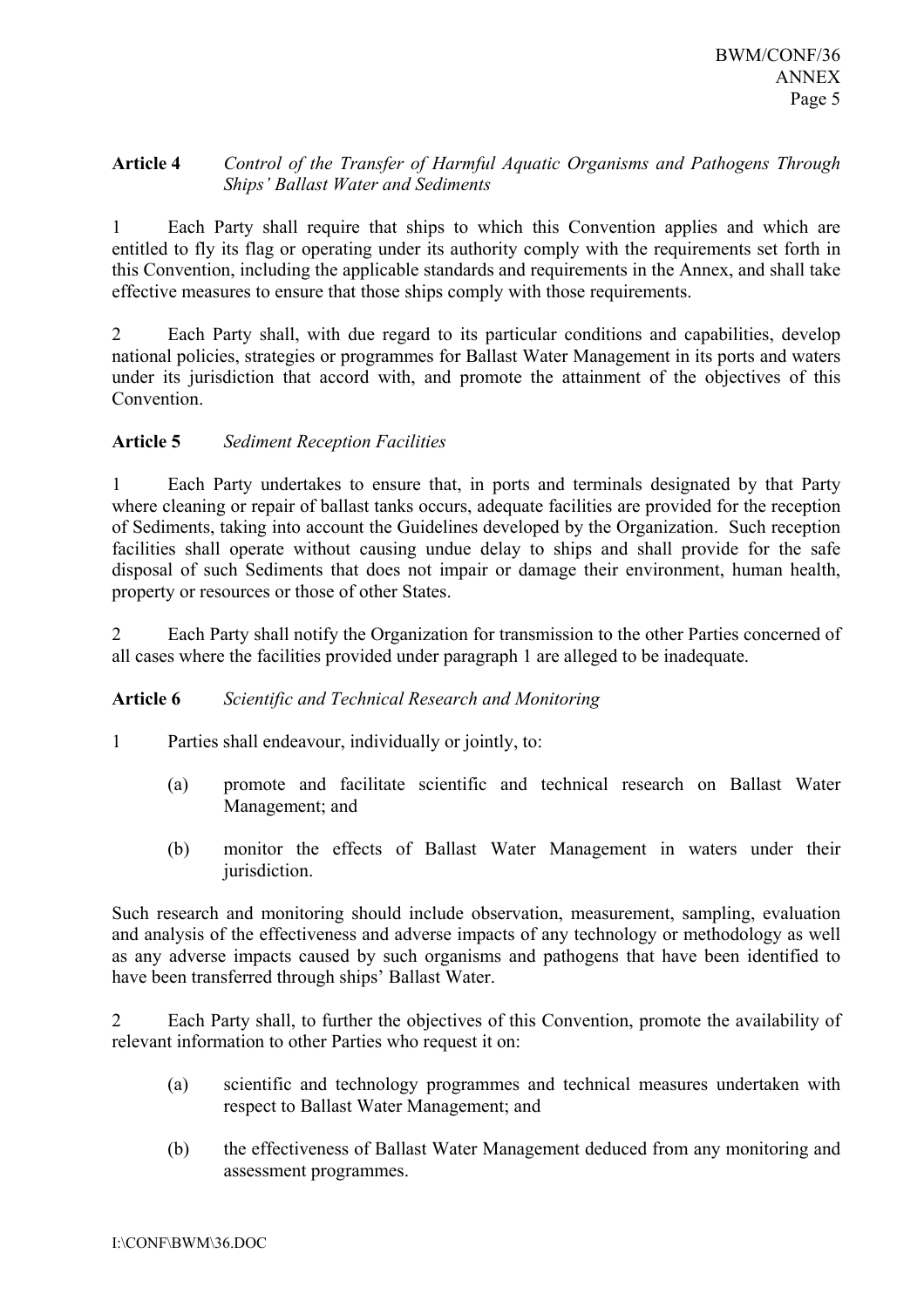## **Article 4** *Control of the Transfer of Harmful Aquatic Organisms and Pathogens Through Ships' Ballast Water and Sediments*

1 Each Party shall require that ships to which this Convention applies and which are entitled to fly its flag or operating under its authority comply with the requirements set forth in this Convention, including the applicable standards and requirements in the Annex, and shall take effective measures to ensure that those ships comply with those requirements.

2 Each Party shall, with due regard to its particular conditions and capabilities, develop national policies, strategies or programmes for Ballast Water Management in its ports and waters under its jurisdiction that accord with, and promote the attainment of the objectives of this Convention.

## **Article 5** *Sediment Reception Facilities*

1 Each Party undertakes to ensure that, in ports and terminals designated by that Party where cleaning or repair of ballast tanks occurs, adequate facilities are provided for the reception of Sediments, taking into account the Guidelines developed by the Organization. Such reception facilities shall operate without causing undue delay to ships and shall provide for the safe disposal of such Sediments that does not impair or damage their environment, human health, property or resources or those of other States.

2 Each Party shall notify the Organization for transmission to the other Parties concerned of all cases where the facilities provided under paragraph 1 are alleged to be inadequate.

## **Article 6** *Scientific and Technical Research and Monitoring*

- 1 Parties shall endeavour, individually or jointly, to:
	- (a) promote and facilitate scientific and technical research on Ballast Water Management; and
	- (b) monitor the effects of Ballast Water Management in waters under their jurisdiction.

Such research and monitoring should include observation, measurement, sampling, evaluation and analysis of the effectiveness and adverse impacts of any technology or methodology as well as any adverse impacts caused by such organisms and pathogens that have been identified to have been transferred through ships' Ballast Water.

2 Each Party shall, to further the objectives of this Convention, promote the availability of relevant information to other Parties who request it on:

- (a) scientific and technology programmes and technical measures undertaken with respect to Ballast Water Management; and
- (b) the effectiveness of Ballast Water Management deduced from any monitoring and assessment programmes.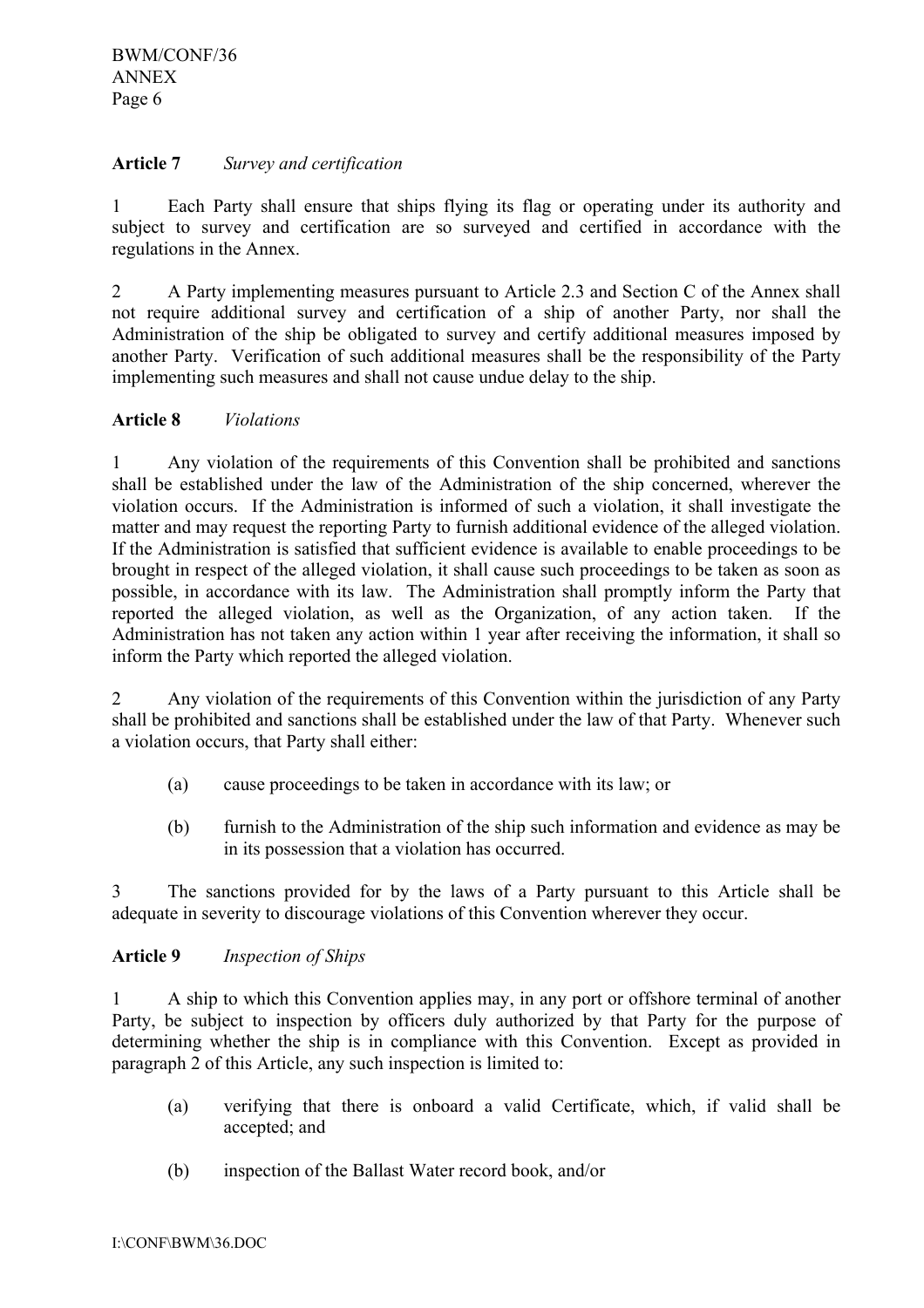#### **Article 7** *Survey and certification*

1 Each Party shall ensure that ships flying its flag or operating under its authority and subject to survey and certification are so surveyed and certified in accordance with the regulations in the Annex.

2 A Party implementing measures pursuant to Article 2.3 and Section C of the Annex shall not require additional survey and certification of a ship of another Party, nor shall the Administration of the ship be obligated to survey and certify additional measures imposed by another Party. Verification of such additional measures shall be the responsibility of the Party implementing such measures and shall not cause undue delay to the ship.

## **Article 8** *Violations*

1 Any violation of the requirements of this Convention shall be prohibited and sanctions shall be established under the law of the Administration of the ship concerned, wherever the violation occurs. If the Administration is informed of such a violation, it shall investigate the matter and may request the reporting Party to furnish additional evidence of the alleged violation. If the Administration is satisfied that sufficient evidence is available to enable proceedings to be brought in respect of the alleged violation, it shall cause such proceedings to be taken as soon as possible, in accordance with its law. The Administration shall promptly inform the Party that reported the alleged violation, as well as the Organization, of any action taken. If the Administration has not taken any action within 1 year after receiving the information, it shall so inform the Party which reported the alleged violation.

2 Any violation of the requirements of this Convention within the jurisdiction of any Party shall be prohibited and sanctions shall be established under the law of that Party. Whenever such a violation occurs, that Party shall either:

- (a) cause proceedings to be taken in accordance with its law; or
- (b) furnish to the Administration of the ship such information and evidence as may be in its possession that a violation has occurred.

3 The sanctions provided for by the laws of a Party pursuant to this Article shall be adequate in severity to discourage violations of this Convention wherever they occur.

#### **Article 9** *Inspection of Ships*

1 A ship to which this Convention applies may, in any port or offshore terminal of another Party, be subject to inspection by officers duly authorized by that Party for the purpose of determining whether the ship is in compliance with this Convention. Except as provided in paragraph 2 of this Article, any such inspection is limited to:

- (a) verifying that there is onboard a valid Certificate, which, if valid shall be accepted; and
- (b) inspection of the Ballast Water record book, and/or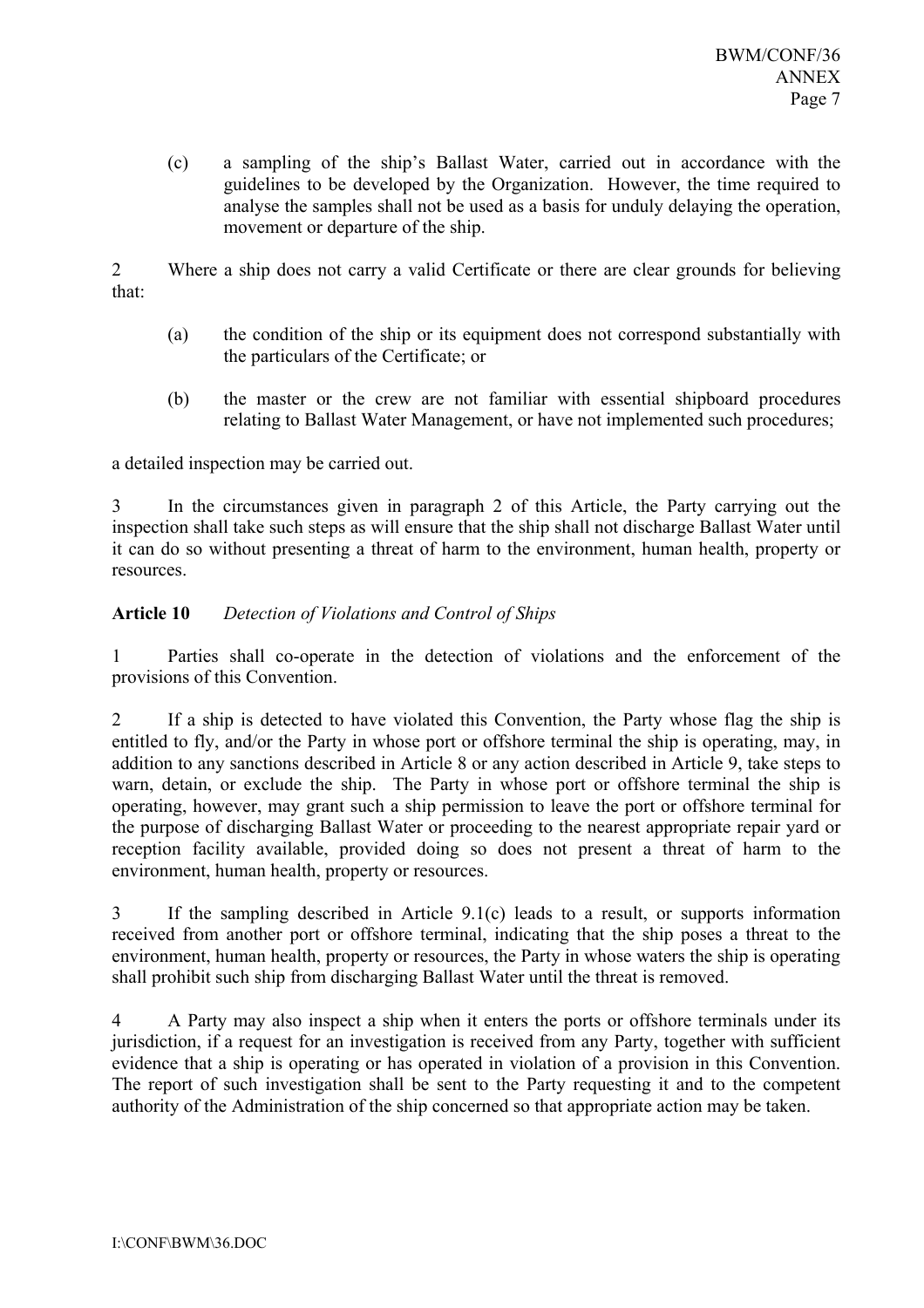(c) a sampling of the ship's Ballast Water, carried out in accordance with the guidelines to be developed by the Organization. However, the time required to analyse the samples shall not be used as a basis for unduly delaying the operation, movement or departure of the ship.

 $\mathcal{L}$ that: Where a ship does not carry a valid Certificate or there are clear grounds for believing

- (a) the condition of the ship or its equipment does not correspond substantially with the particulars of the Certificate; or
- (b) the master or the crew are not familiar with essential shipboard procedures relating to Ballast Water Management, or have not implemented such procedures;

a detailed inspection may be carried out.

3 In the circumstances given in paragraph 2 of this Article, the Party carrying out the inspection shall take such steps as will ensure that the ship shall not discharge Ballast Water until it can do so without presenting a threat of harm to the environment, human health, property or resources.

## **Article 10** *Detection of Violations and Control of Ships*

1 Parties shall co-operate in the detection of violations and the enforcement of the provisions of this Convention.

2 If a ship is detected to have violated this Convention, the Party whose flag the ship is entitled to fly, and/or the Party in whose port or offshore terminal the ship is operating, may, in addition to any sanctions described in Article 8 or any action described in Article 9, take steps to warn, detain, or exclude the ship. The Party in whose port or offshore terminal the ship is operating, however, may grant such a ship permission to leave the port or offshore terminal for the purpose of discharging Ballast Water or proceeding to the nearest appropriate repair yard or reception facility available, provided doing so does not present a threat of harm to the environment, human health, property or resources.

3 If the sampling described in Article 9.1(c) leads to a result, or supports information received from another port or offshore terminal, indicating that the ship poses a threat to the environment, human health, property or resources, the Party in whose waters the ship is operating shall prohibit such ship from discharging Ballast Water until the threat is removed.

4 A Party may also inspect a ship when it enters the ports or offshore terminals under its jurisdiction, if a request for an investigation is received from any Party, together with sufficient evidence that a ship is operating or has operated in violation of a provision in this Convention. The report of such investigation shall be sent to the Party requesting it and to the competent authority of the Administration of the ship concerned so that appropriate action may be taken.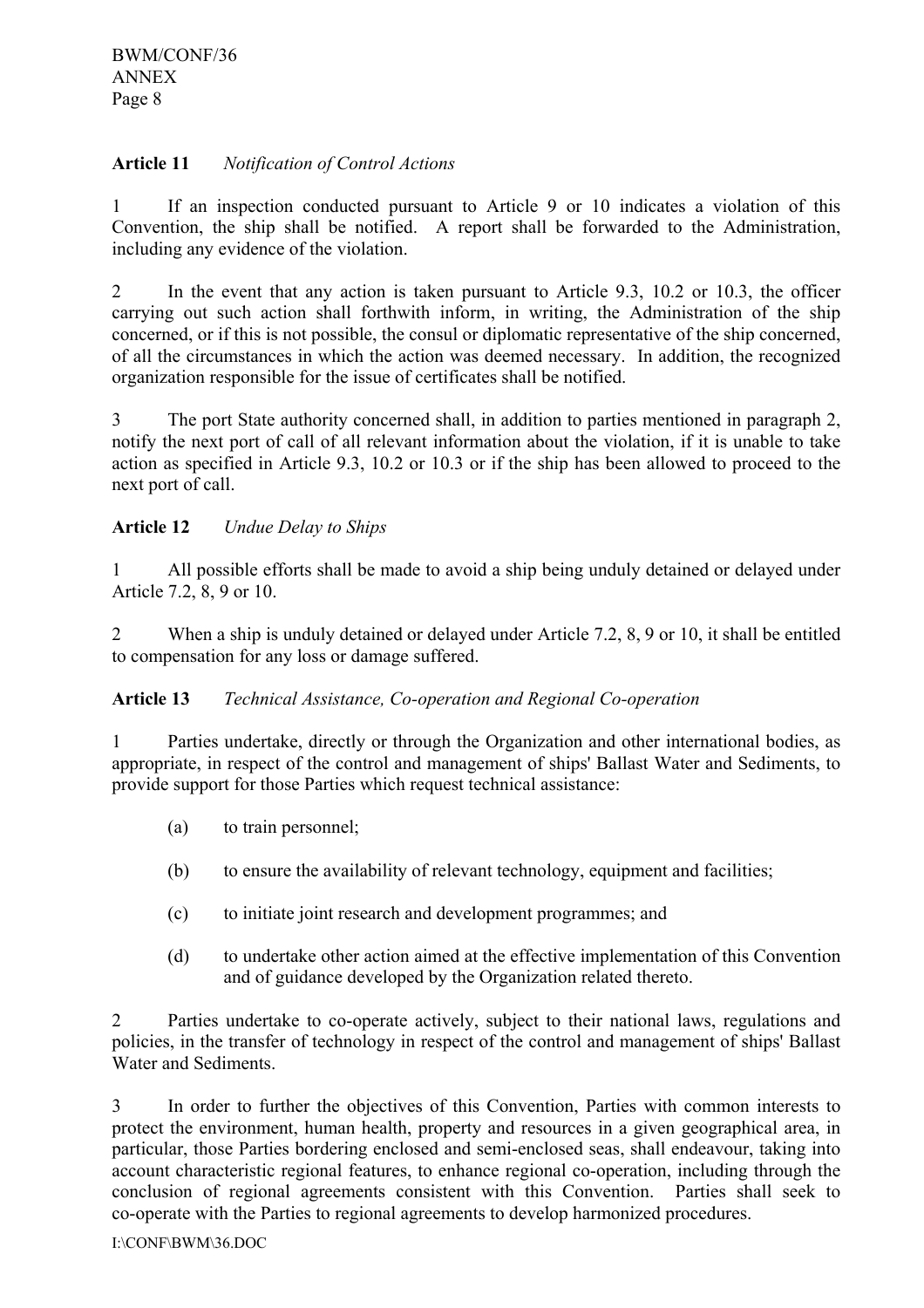## **Article 11** *Notification of Control Actions*

1 If an inspection conducted pursuant to Article 9 or 10 indicates a violation of this Convention, the ship shall be notified. A report shall be forwarded to the Administration, including any evidence of the violation.

2 In the event that any action is taken pursuant to Article 9.3, 10.2 or 10.3, the officer carrying out such action shall forthwith inform, in writing, the Administration of the ship concerned, or if this is not possible, the consul or diplomatic representative of the ship concerned, of all the circumstances in which the action was deemed necessary. In addition, the recognized organization responsible for the issue of certificates shall be notified.

3 The port State authority concerned shall, in addition to parties mentioned in paragraph 2, notify the next port of call of all relevant information about the violation, if it is unable to take action as specified in Article 9.3, 10.2 or 10.3 or if the ship has been allowed to proceed to the next port of call.

## **Article 12** *Undue Delay to Ships*

1 All possible efforts shall be made to avoid a ship being unduly detained or delayed under Article 7.2, 8, 9 or 10.

2 When a ship is unduly detained or delayed under Article 7.2, 8, 9 or 10, it shall be entitled to compensation for any loss or damage suffered.

## **Article 13** *Technical Assistance, Co-operation and Regional Co-operation*

1 Parties undertake, directly or through the Organization and other international bodies, as appropriate, in respect of the control and management of ships' Ballast Water and Sediments, to provide support for those Parties which request technical assistance:

- (a) to train personnel;
- (b) to ensure the availability of relevant technology, equipment and facilities;
- (c) to initiate joint research and development programmes; and
- (d) to undertake other action aimed at the effective implementation of this Convention and of guidance developed by the Organization related thereto.

2 Parties undertake to co-operate actively, subject to their national laws, regulations and policies, in the transfer of technology in respect of the control and management of ships' Ballast Water and Sediments.

3 In order to further the objectives of this Convention, Parties with common interests to protect the environment, human health, property and resources in a given geographical area, in particular, those Parties bordering enclosed and semi-enclosed seas, shall endeavour, taking into account characteristic regional features, to enhance regional co-operation, including through the conclusion of regional agreements consistent with this Convention. Parties shall seek to co-operate with the Parties to regional agreements to develop harmonized procedures.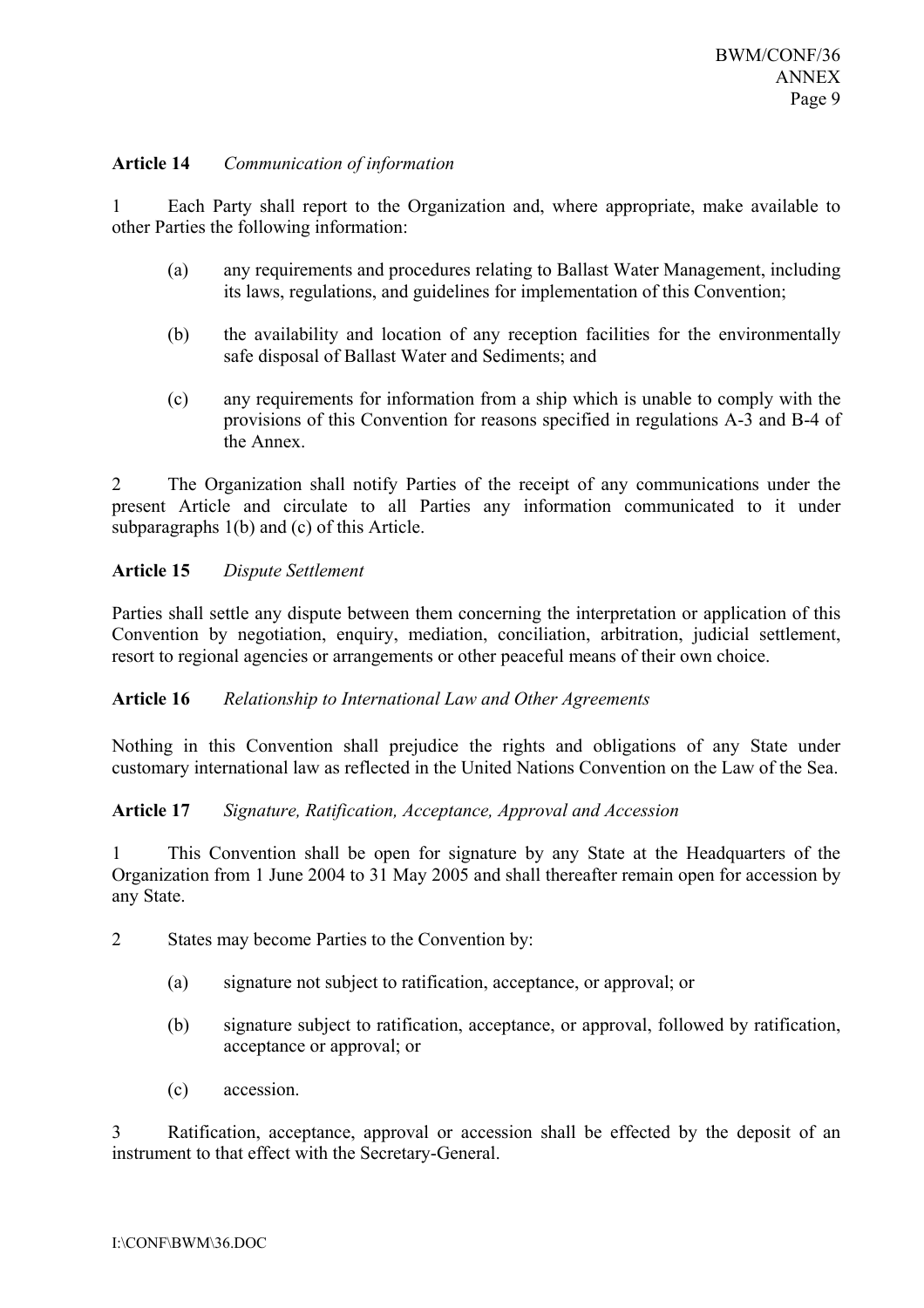#### **Article 14** *Communication of information*

1 Each Party shall report to the Organization and, where appropriate, make available to other Parties the following information:

- (a) any requirements and procedures relating to Ballast Water Management, including its laws, regulations, and guidelines for implementation of this Convention;
- (b) the availability and location of any reception facilities for the environmentally safe disposal of Ballast Water and Sediments; and
- (c) any requirements for information from a ship which is unable to comply with the provisions of this Convention for reasons specified in regulations A-3 and B-4 of the Annex.

2 The Organization shall notify Parties of the receipt of any communications under the present Article and circulate to all Parties any information communicated to it under subparagraphs 1(b) and (c) of this Article.

#### **Article 15** *Dispute Settlement*

Parties shall settle any dispute between them concerning the interpretation or application of this Convention by negotiation, enquiry, mediation, conciliation, arbitration, judicial settlement, resort to regional agencies or arrangements or other peaceful means of their own choice.

## **Article 16** *Relationship to International Law and Other Agreements*

Nothing in this Convention shall prejudice the rights and obligations of any State under customary international law as reflected in the United Nations Convention on the Law of the Sea.

#### **Article 17** *Signature, Ratification, Acceptance, Approval and Accession*

1 This Convention shall be open for signature by any State at the Headquarters of the Organization from 1 June 2004 to 31 May 2005 and shall thereafter remain open for accession by any State.

- 2 States may become Parties to the Convention by:
	- (a) signature not subject to ratification, acceptance, or approval; or
	- (b) signature subject to ratification, acceptance, or approval, followed by ratification, acceptance or approval; or
	- (c) accession.

3 Ratification, acceptance, approval or accession shall be effected by the deposit of an instrument to that effect with the Secretary-General.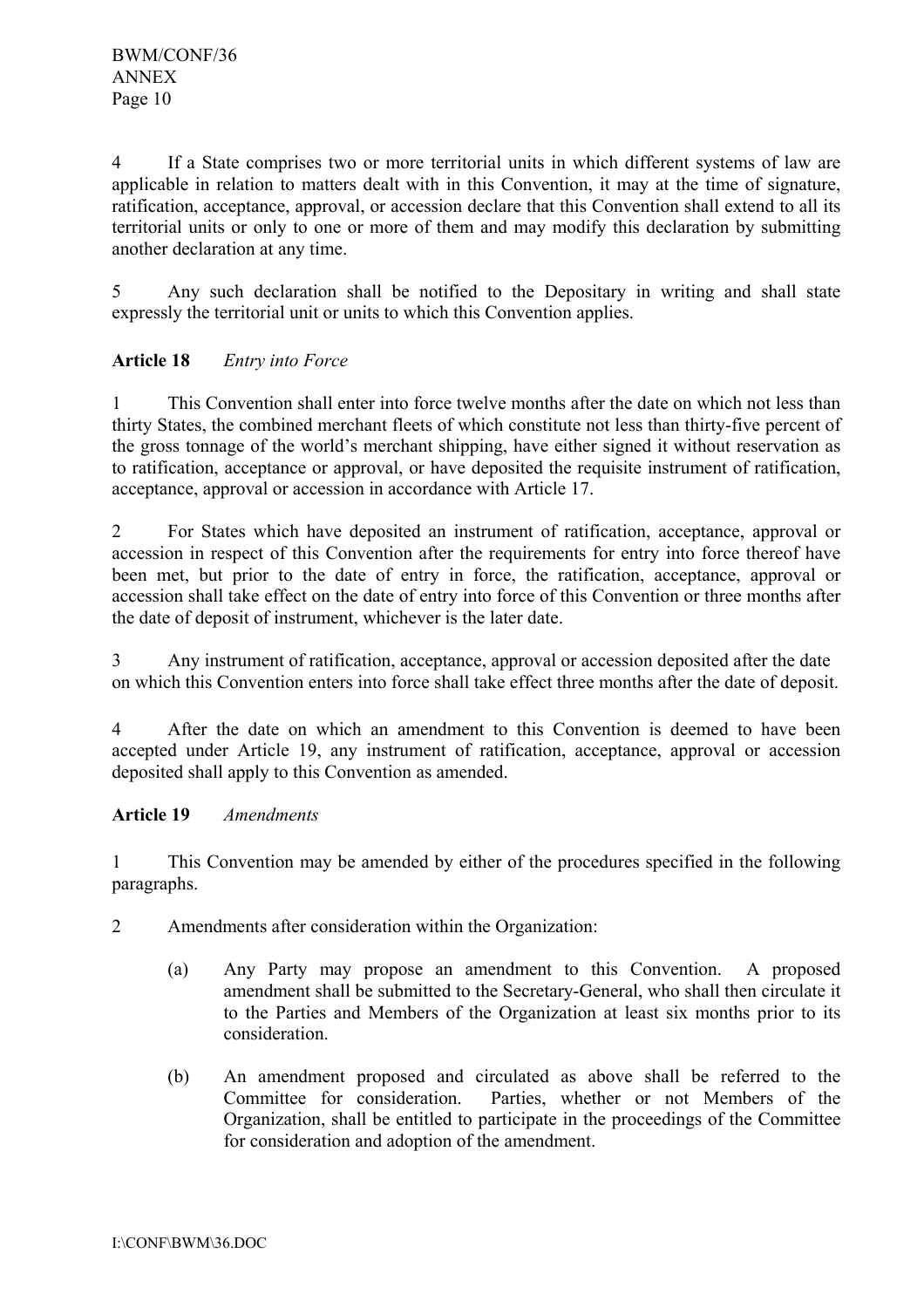4 If a State comprises two or more territorial units in which different systems of law are applicable in relation to matters dealt with in this Convention, it may at the time of signature, ratification, acceptance, approval, or accession declare that this Convention shall extend to all its territorial units or only to one or more of them and may modify this declaration by submitting another declaration at any time.

5 Any such declaration shall be notified to the Depositary in writing and shall state expressly the territorial unit or units to which this Convention applies.

## **Article 18** *Entry into Force*

1 This Convention shall enter into force twelve months after the date on which not less than thirty States, the combined merchant fleets of which constitute not less than thirty-five percent of the gross tonnage of the world's merchant shipping, have either signed it without reservation as to ratification, acceptance or approval, or have deposited the requisite instrument of ratification, acceptance, approval or accession in accordance with Article 17.

2 For States which have deposited an instrument of ratification, acceptance, approval or accession in respect of this Convention after the requirements for entry into force thereof have been met, but prior to the date of entry in force, the ratification, acceptance, approval or accession shall take effect on the date of entry into force of this Convention or three months after the date of deposit of instrument, whichever is the later date.

3 Any instrument of ratification, acceptance, approval or accession deposited after the date on which this Convention enters into force shall take effect three months after the date of deposit.

4 After the date on which an amendment to this Convention is deemed to have been accepted under Article 19, any instrument of ratification, acceptance, approval or accession deposited shall apply to this Convention as amended.

## **Article 19** *Amendments*

1 This Convention may be amended by either of the procedures specified in the following paragraphs.

- 2 Amendments after consideration within the Organization:
	- (a) Any Party may propose an amendment to this Convention. A proposed amendment shall be submitted to the Secretary-General, who shall then circulate it to the Parties and Members of the Organization at least six months prior to its consideration.
	- (b) An amendment proposed and circulated as above shall be referred to the Committee for consideration. Parties, whether or not Members of the Organization, shall be entitled to participate in the proceedings of the Committee for consideration and adoption of the amendment.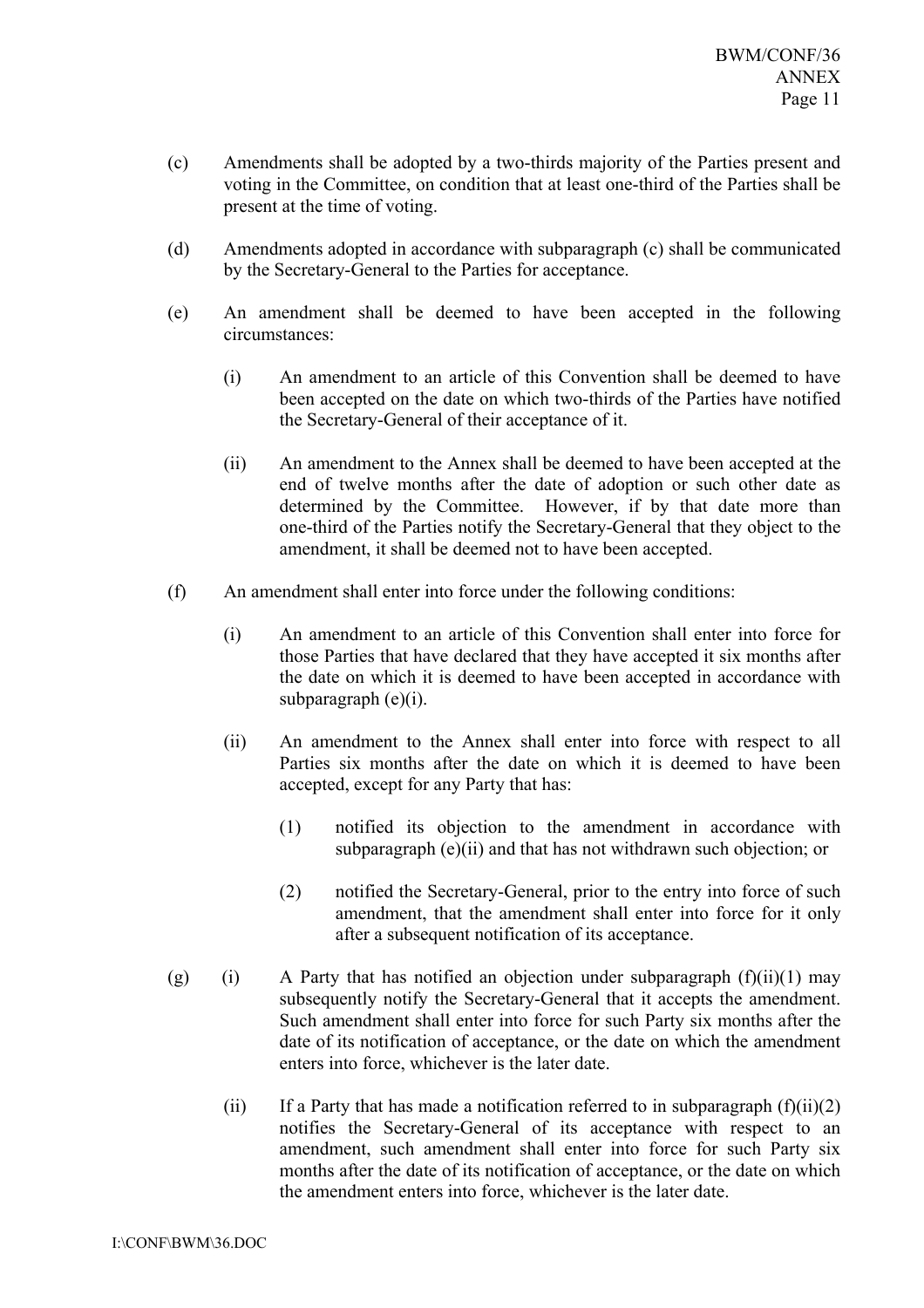- (c) Amendments shall be adopted by a two-thirds majority of the Parties present and voting in the Committee, on condition that at least one-third of the Parties shall be present at the time of voting.
- (d) Amendments adopted in accordance with subparagraph (c) shall be communicated by the Secretary-General to the Parties for acceptance.
- (e) An amendment shall be deemed to have been accepted in the following circumstances:
	- (i) An amendment to an article of this Convention shall be deemed to have been accepted on the date on which two-thirds of the Parties have notified the Secretary-General of their acceptance of it.
	- (ii) An amendment to the Annex shall be deemed to have been accepted at the end of twelve months after the date of adoption or such other date as determined by the Committee. However, if by that date more than one-third of the Parties notify the Secretary-General that they object to the amendment, it shall be deemed not to have been accepted.
- (f) An amendment shall enter into force under the following conditions:
	- (i) An amendment to an article of this Convention shall enter into force for those Parties that have declared that they have accepted it six months after the date on which it is deemed to have been accepted in accordance with subparagraph (e)(i).
	- (ii) An amendment to the Annex shall enter into force with respect to all Parties six months after the date on which it is deemed to have been accepted, except for any Party that has:
		- (1) notified its objection to the amendment in accordance with subparagraph (e)(ii) and that has not withdrawn such objection; or
		- (2) notified the Secretary-General, prior to the entry into force of such amendment, that the amendment shall enter into force for it only after a subsequent notification of its acceptance.
- (g) (i) A Party that has notified an objection under subparagraph  $(f)(ii)(1)$  may subsequently notify the Secretary-General that it accepts the amendment. Such amendment shall enter into force for such Party six months after the date of its notification of acceptance, or the date on which the amendment enters into force, whichever is the later date.
	- (ii) If a Party that has made a notification referred to in subparagraph  $(f)(ii)(2)$ notifies the Secretary-General of its acceptance with respect to an amendment, such amendment shall enter into force for such Party six months after the date of its notification of acceptance, or the date on which the amendment enters into force, whichever is the later date.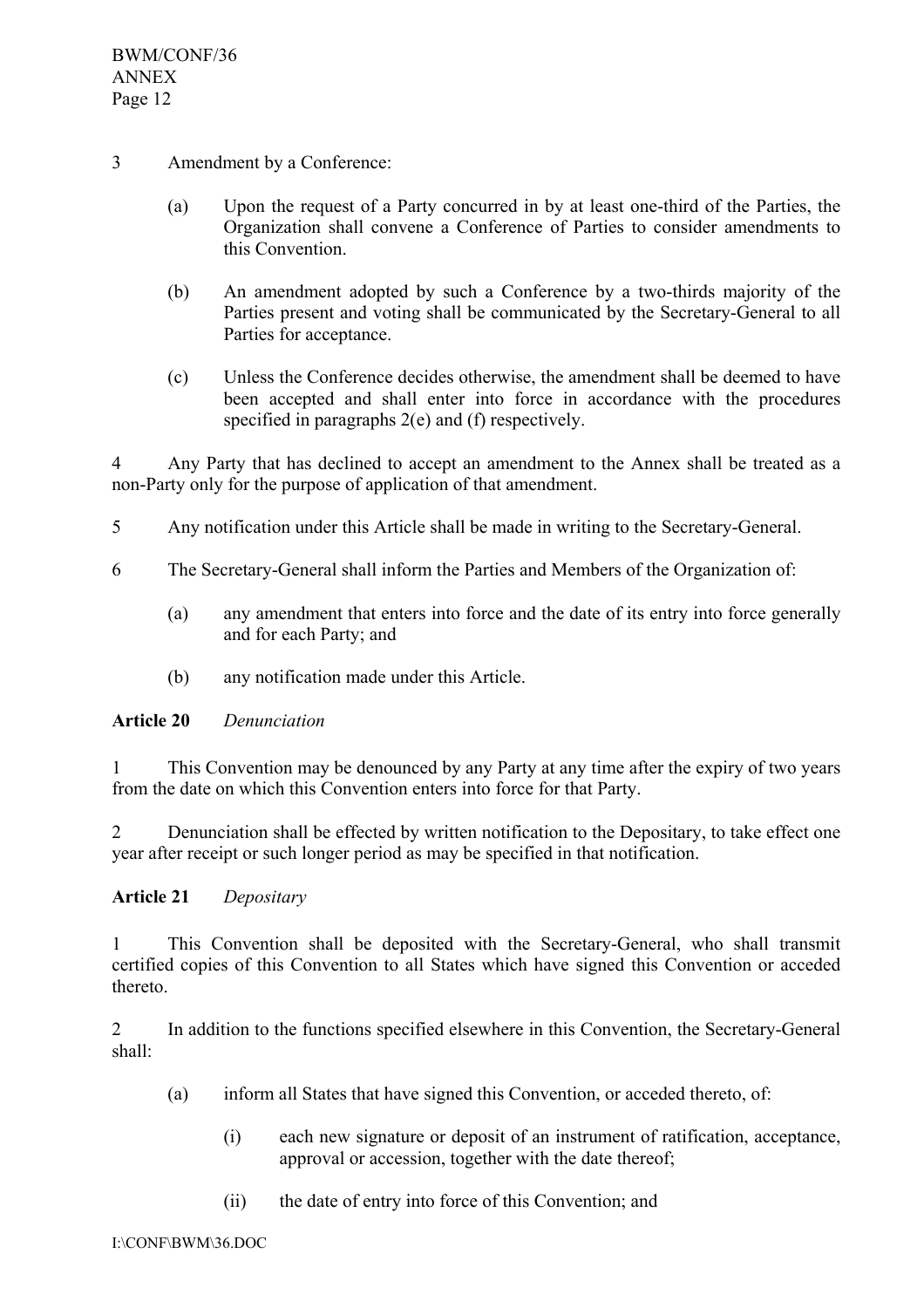- 3 Amendment by a Conference:
	- (a) Upon the request of a Party concurred in by at least one-third of the Parties, the Organization shall convene a Conference of Parties to consider amendments to this Convention.
	- (b) An amendment adopted by such a Conference by a two-thirds majority of the Parties present and voting shall be communicated by the Secretary-General to all Parties for acceptance.
	- (c) Unless the Conference decides otherwise, the amendment shall be deemed to have been accepted and shall enter into force in accordance with the procedures specified in paragraphs 2(e) and (f) respectively.

4 Any Party that has declined to accept an amendment to the Annex shall be treated as a non-Party only for the purpose of application of that amendment.

- 5 Any notification under this Article shall be made in writing to the Secretary-General.
- 6 The Secretary-General shall inform the Parties and Members of the Organization of:
	- (a) any amendment that enters into force and the date of its entry into force generally and for each Party; and
	- (b) any notification made under this Article.

**Article 20** *Denunciation* 

1 This Convention may be denounced by any Party at any time after the expiry of two years from the date on which this Convention enters into force for that Party.

2 Denunciation shall be effected by written notification to the Depositary, to take effect one year after receipt or such longer period as may be specified in that notification.

## **Article 21** *Depositary*

1 This Convention shall be deposited with the Secretary-General, who shall transmit certified copies of this Convention to all States which have signed this Convention or acceded thereto.

2 In addition to the functions specified elsewhere in this Convention, the Secretary-General shall:

- (a) inform all States that have signed this Convention, or acceded thereto, of:
	- (i) each new signature or deposit of an instrument of ratification, acceptance, approval or accession, together with the date thereof;
	- (ii) the date of entry into force of this Convention; and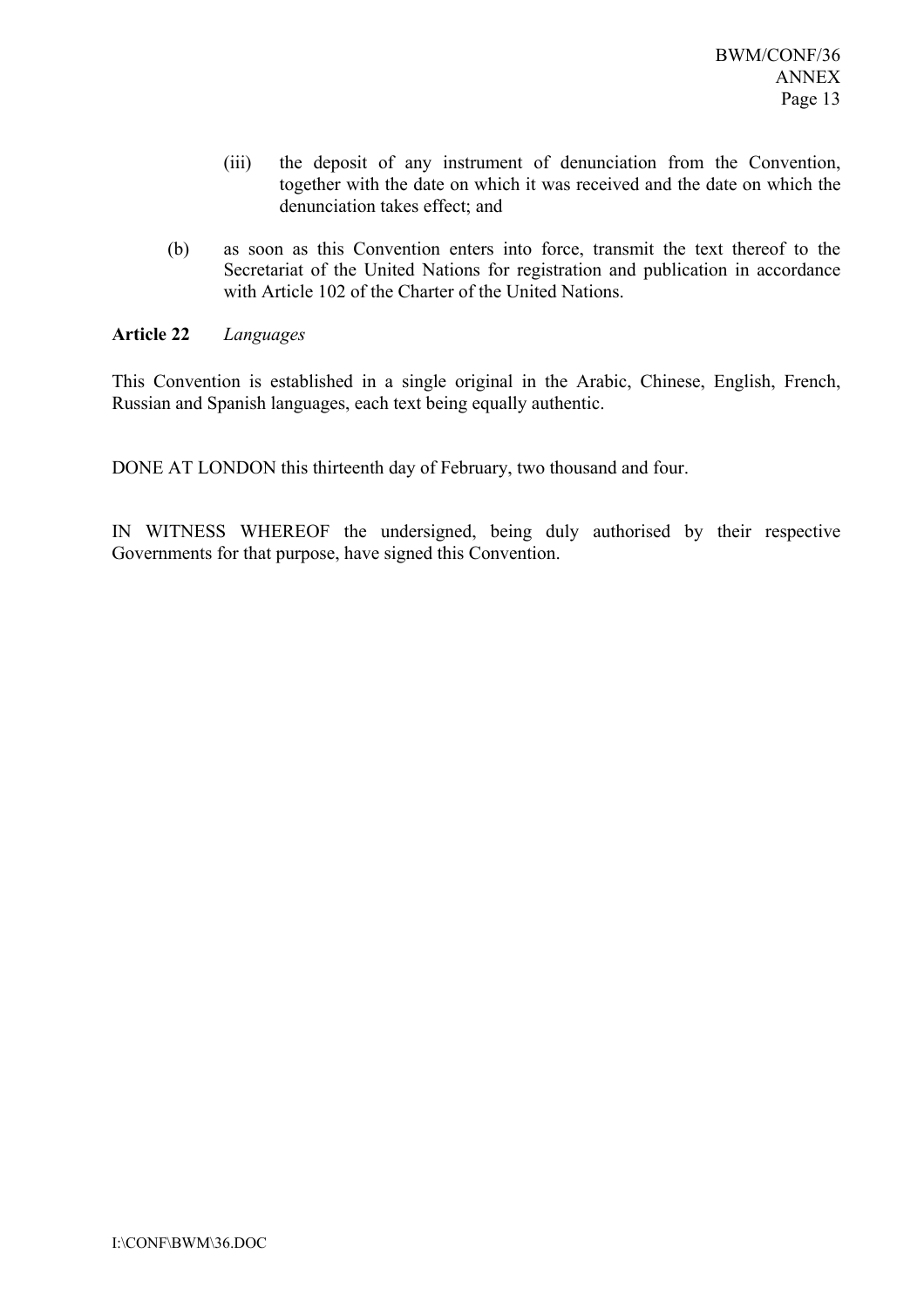- (iii) the deposit of any instrument of denunciation from the Convention, together with the date on which it was received and the date on which the denunciation takes effect; and
- (b) as soon as this Convention enters into force, transmit the text thereof to the Secretariat of the United Nations for registration and publication in accordance with Article 102 of the Charter of the United Nations.

#### **Article 22** *Languages*

This Convention is established in a single original in the Arabic, Chinese, English, French, Russian and Spanish languages, each text being equally authentic.

DONE AT LONDON this thirteenth day of February, two thousand and four.

IN WITNESS WHEREOF the undersigned, being duly authorised by their respective Governments for that purpose, have signed this Convention.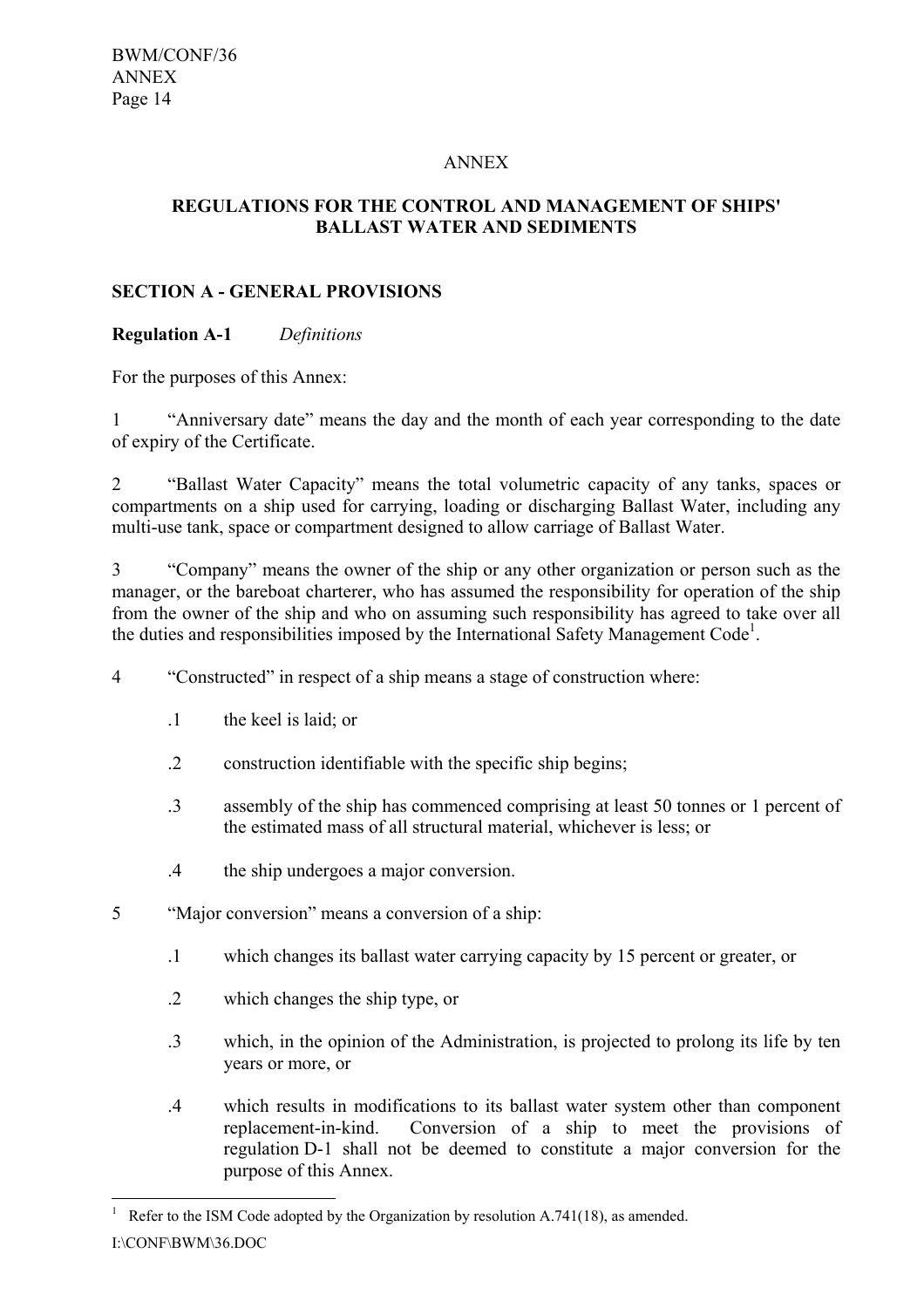#### ANNEX

## **REGULATIONS FOR THE CONTROL AND MANAGEMENT OF SHIPS' BALLAST WATER AND SEDIMENTS**

## **SECTION A - GENERAL PROVISIONS**

## **Regulation A-1** *Definitions*

For the purposes of this Annex:

<sup>1</sup> <sup>"Anniversary date" means the day and the month of each year corresponding to the date</sup> of expiry of the Certificate.

2 **Example 3 EXECUTE:** "Ballast Water Capacity" means the total volumetric capacity of any tanks, spaces or compartments on a ship used for carrying, loading or discharging Ballast Water, including any multi-use tank, space or compartment designed to allow carriage of Ballast Water.

3 —Company" means the owner of the ship or any other organization or person such as the manager, or the bareboat charterer, who has assumed the responsibility for operation of the ship from the owner of the ship and who on assuming such responsibility has agreed to take over all the duties and responsibilities imposed by the International Safety Management Code<sup>1</sup>.

4 —Constructed" in respect of a ship means a stage of construction where:

- .1 the keel is laid; or
- .2 construction identifiable with the specific ship begins;
- .3 assembly of the ship has commenced comprising at least 50 tonnes or 1 percent of the estimated mass of all structural material, whichever is less; or
- .4 the ship undergoes a major conversion.
- 5 "Major conversion" means a conversion of a ship:
	- .1 which changes its ballast water carrying capacity by 15 percent or greater, or
	- .2 which changes the ship type, or
	- .3 which, in the opinion of the Administration, is projected to prolong its life by ten years or more, or
	- .4 which results in modifications to its ballast water system other than component replacement-in-kind. Conversion of a ship to meet the provisions of regulation D-1 shall not be deemed to constitute a major conversion for the purpose of this Annex.

<sup>1</sup> Refer to the ISM Code adopted by the Organization by resolution A.741(18), as amended. I:\CONF\BWM\36.DOC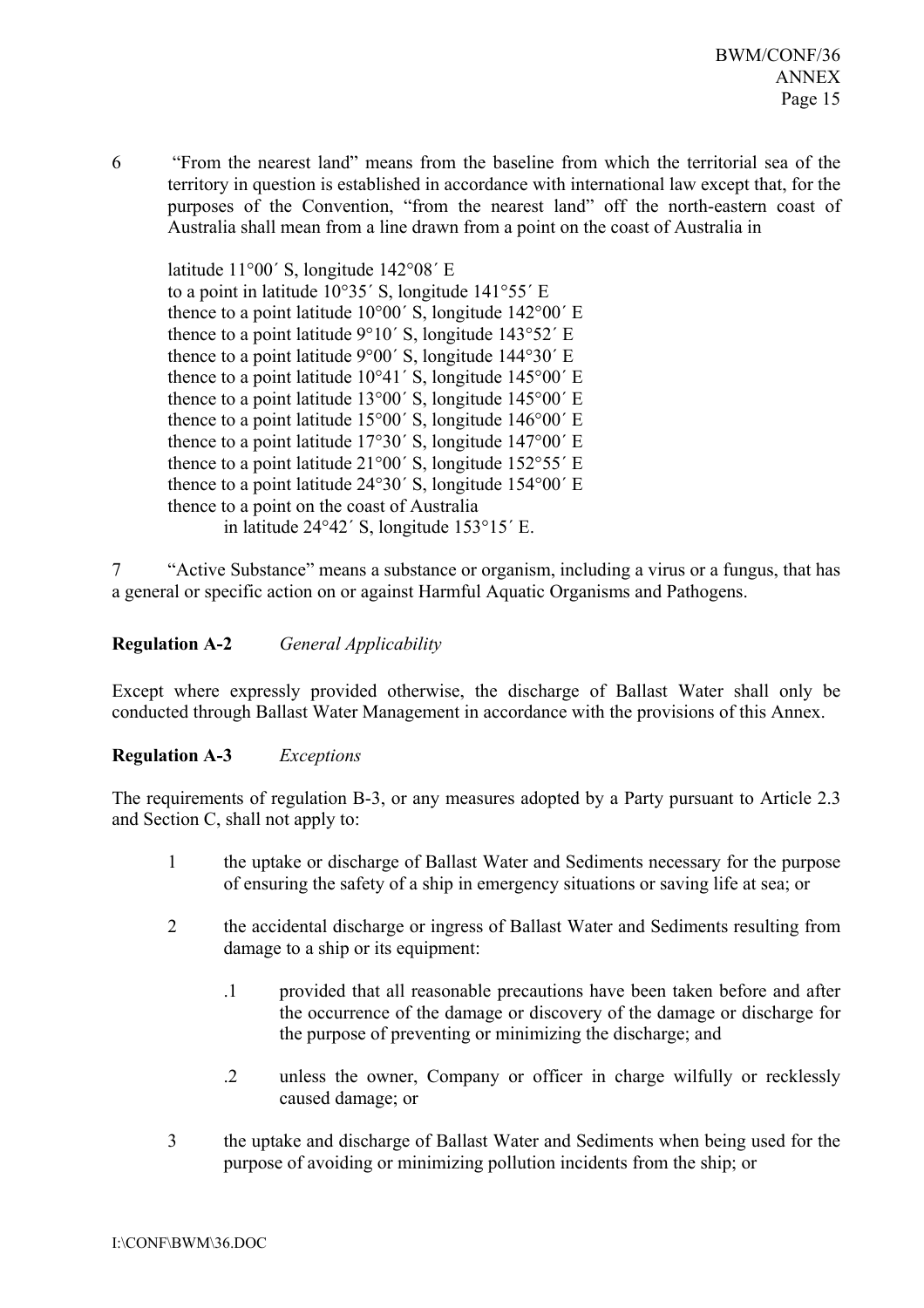6 —From the nearest land" means from the baseline from which the territorial sea of the territory in question is established in accordance with international law except that, for the purposes of the Convention, "from the nearest land" off the north-eastern coast of Australia shall mean from a line drawn from a point on the coast of Australia in

latitude 11°00´ S, longitude 142°08´ E to a point in latitude 10°35´ S, longitude 141°55´ E thence to a point latitude  $10^{\circ}00'$  S, longitude  $142^{\circ}00'$  E thence to a point latitude  $9^{\circ}10'$  S, longitude  $143^{\circ}52'$  E thence to a point latitude 9°00´ S, longitude 144°30´ E thence to a point latitude  $10^{\circ}41'$  S, longitude  $145^{\circ}00'$  E thence to a point latitude 13°00´ S, longitude 145°00´ E thence to a point latitude 15°00´ S, longitude 146°00´ E thence to a point latitude 17°30´ S, longitude 147°00´ E thence to a point latitude  $21^{\circ}00'$  S, longitude  $152^{\circ}55'$  E thence to a point latitude 24°30´ S, longitude 154°00´ E thence to a point on the coast of Australia in latitude 24°42´ S, longitude 153°15´ E.

7 —Active Substance" means a substance or organism, including a virus or a fungus, that has a general or specific action on or against Harmful Aquatic Organisms and Pathogens.

#### **Regulation A-2** *General Applicability*

Except where expressly provided otherwise, the discharge of Ballast Water shall only be conducted through Ballast Water Management in accordance with the provisions of this Annex.

#### **Regulation A-3** *Exceptions*

The requirements of regulation B-3, or any measures adopted by a Party pursuant to Article 2.3 and Section C, shall not apply to:

- 1 the uptake or discharge of Ballast Water and Sediments necessary for the purpose of ensuring the safety of a ship in emergency situations or saving life at sea; or
- 2 the accidental discharge or ingress of Ballast Water and Sediments resulting from damage to a ship or its equipment:
	- .1 provided that all reasonable precautions have been taken before and after the occurrence of the damage or discovery of the damage or discharge for the purpose of preventing or minimizing the discharge; and
	- .2 unless the owner, Company or officer in charge wilfully or recklessly caused damage; or
- 3 the uptake and discharge of Ballast Water and Sediments when being used for the purpose of avoiding or minimizing pollution incidents from the ship; or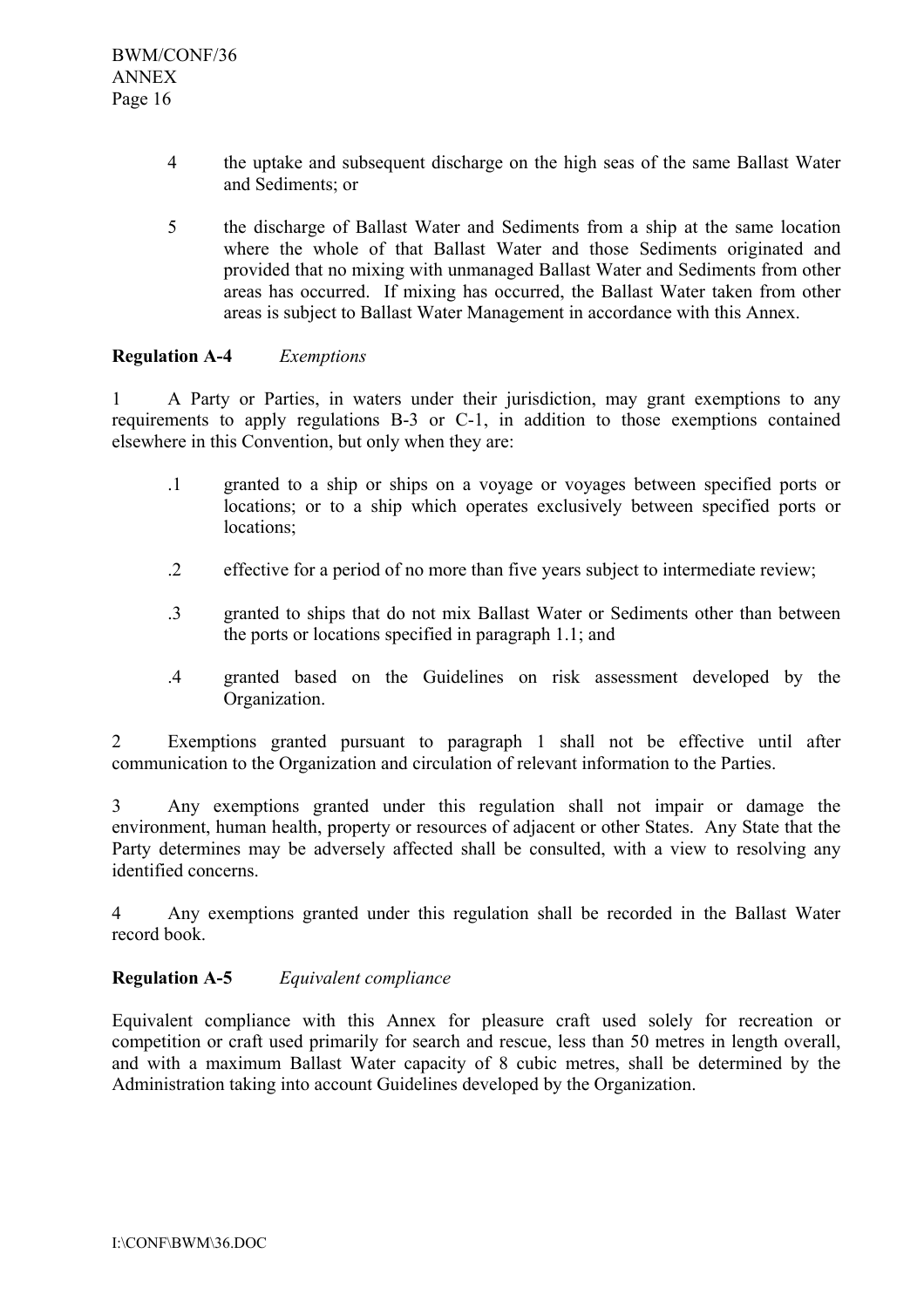- 4 the uptake and subsequent discharge on the high seas of the same Ballast Water and Sediments; or
- 5 the discharge of Ballast Water and Sediments from a ship at the same location where the whole of that Ballast Water and those Sediments originated and provided that no mixing with unmanaged Ballast Water and Sediments from other areas has occurred. If mixing has occurred, the Ballast Water taken from other areas is subject to Ballast Water Management in accordance with this Annex.

#### **Regulation A-4** *Exemptions*

1 A Party or Parties, in waters under their jurisdiction, may grant exemptions to any requirements to apply regulations B-3 or C-1, in addition to those exemptions contained elsewhere in this Convention, but only when they are:

- .1 granted to a ship or ships on a voyage or voyages between specified ports or locations; or to a ship which operates exclusively between specified ports or locations:
- .2 effective for a period of no more than five years subject to intermediate review;
- .3 granted to ships that do not mix Ballast Water or Sediments other than between the ports or locations specified in paragraph 1.1; and
- .4 granted based on the Guidelines on risk assessment developed by the Organization.

2 Exemptions granted pursuant to paragraph 1 shall not be effective until after communication to the Organization and circulation of relevant information to the Parties.

3 Any exemptions granted under this regulation shall not impair or damage the environment, human health, property or resources of adjacent or other States. Any State that the Party determines may be adversely affected shall be consulted, with a view to resolving any identified concerns.

4 Any exemptions granted under this regulation shall be recorded in the Ballast Water record book.

## **Regulation A-5** *Equivalent compliance*

Equivalent compliance with this Annex for pleasure craft used solely for recreation or competition or craft used primarily for search and rescue, less than 50 metres in length overall, and with a maximum Ballast Water capacity of 8 cubic metres, shall be determined by the Administration taking into account Guidelines developed by the Organization.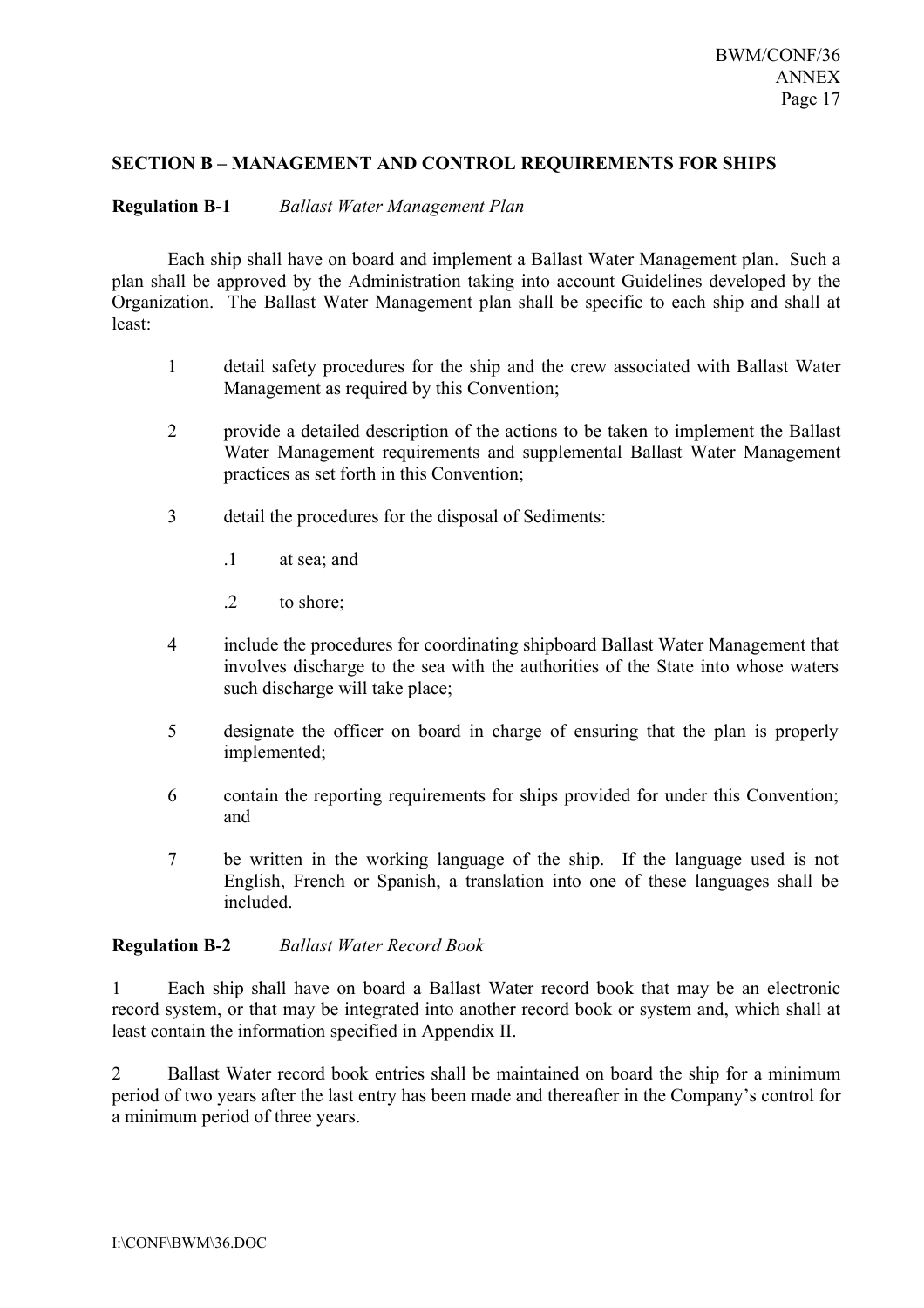#### **SECTION B – MANAGEMENT AND CONTROL REQUIREMENTS FOR SHIPS**

#### **Regulation B-1** *Ballast Water Management Plan*

Each ship shall have on board and implement a Ballast Water Management plan. Such a plan shall be approved by the Administration taking into account Guidelines developed by the Organization. The Ballast Water Management plan shall be specific to each ship and shall at least:

- 1 detail safety procedures for the ship and the crew associated with Ballast Water Management as required by this Convention:
- 2 provide a detailed description of the actions to be taken to implement the Ballast Water Management requirements and supplemental Ballast Water Management practices as set forth in this Convention;
- 3 detail the procedures for the disposal of Sediments:
	- .1 at sea; and
	- .2 to shore;
- 4 include the procedures for coordinating shipboard Ballast Water Management that involves discharge to the sea with the authorities of the State into whose waters such discharge will take place;
- 5 designate the officer on board in charge of ensuring that the plan is properly implemented;
- 6 contain the reporting requirements for ships provided for under this Convention; and
- 7 be written in the working language of the ship. If the language used is not English, French or Spanish, a translation into one of these languages shall be included.

#### **Regulation B-2** *Ballast Water Record Book*

1 Each ship shall have on board a Ballast Water record book that may be an electronic record system, or that may be integrated into another record book or system and, which shall at least contain the information specified in Appendix II.

2 Ballast Water record book entries shall be maintained on board the ship for a minimum period of two years after the last entry has been made and thereafter in the Company's control for a minimum period of three years.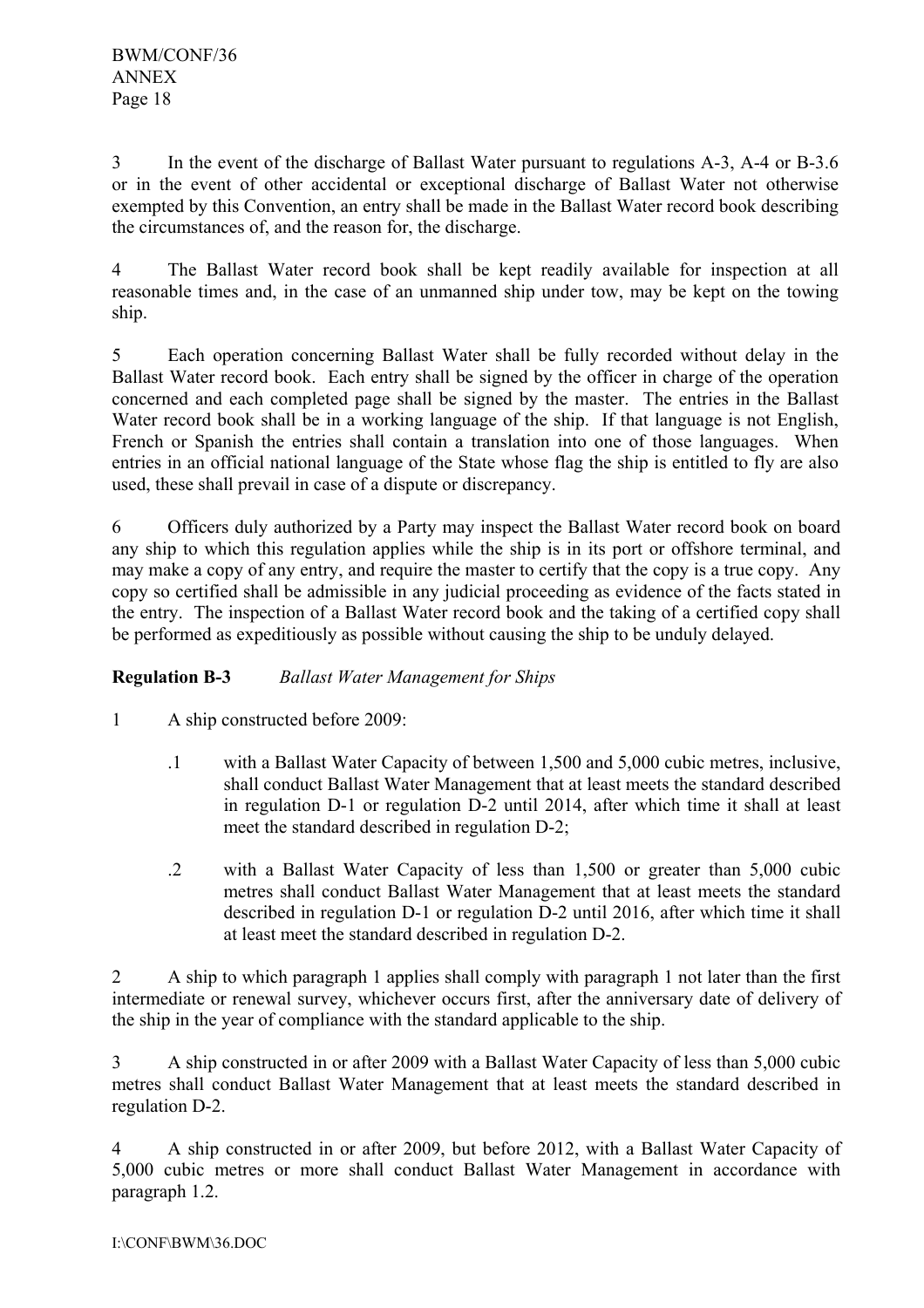3 In the event of the discharge of Ballast Water pursuant to regulations A-3, A-4 or B-3.6 or in the event of other accidental or exceptional discharge of Ballast Water not otherwise exempted by this Convention, an entry shall be made in the Ballast Water record book describing the circumstances of, and the reason for, the discharge.

4 The Ballast Water record book shall be kept readily available for inspection at all reasonable times and, in the case of an unmanned ship under tow, may be kept on the towing ship.

5 Each operation concerning Ballast Water shall be fully recorded without delay in the Ballast Water record book. Each entry shall be signed by the officer in charge of the operation concerned and each completed page shall be signed by the master. The entries in the Ballast Water record book shall be in a working language of the ship. If that language is not English, French or Spanish the entries shall contain a translation into one of those languages. When entries in an official national language of the State whose flag the ship is entitled to fly are also used, these shall prevail in case of a dispute or discrepancy.

6 Officers duly authorized by a Party may inspect the Ballast Water record book on board any ship to which this regulation applies while the ship is in its port or offshore terminal, and may make a copy of any entry, and require the master to certify that the copy is a true copy. Any copy so certified shall be admissible in any judicial proceeding as evidence of the facts stated in the entry. The inspection of a Ballast Water record book and the taking of a certified copy shall be performed as expeditiously as possible without causing the ship to be unduly delayed.

## **Regulation B-3** *Ballast Water Management for Ships*

1 A ship constructed before 2009:

- .1 with a Ballast Water Capacity of between 1,500 and 5,000 cubic metres, inclusive, shall conduct Ballast Water Management that at least meets the standard described in regulation D-1 or regulation D-2 until 2014, after which time it shall at least meet the standard described in regulation D-2;
- .2 with a Ballast Water Capacity of less than 1,500 or greater than 5,000 cubic metres shall conduct Ballast Water Management that at least meets the standard described in regulation D-1 or regulation D-2 until 2016, after which time it shall at least meet the standard described in regulation D-2.

2 A ship to which paragraph 1 applies shall comply with paragraph 1 not later than the first intermediate or renewal survey, whichever occurs first, after the anniversary date of delivery of the ship in the year of compliance with the standard applicable to the ship.

3 A ship constructed in or after 2009 with a Ballast Water Capacity of less than 5,000 cubic metres shall conduct Ballast Water Management that at least meets the standard described in regulation D-2.

4 A ship constructed in or after 2009, but before 2012, with a Ballast Water Capacity of 5,000 cubic metres or more shall conduct Ballast Water Management in accordance with paragraph 1.2.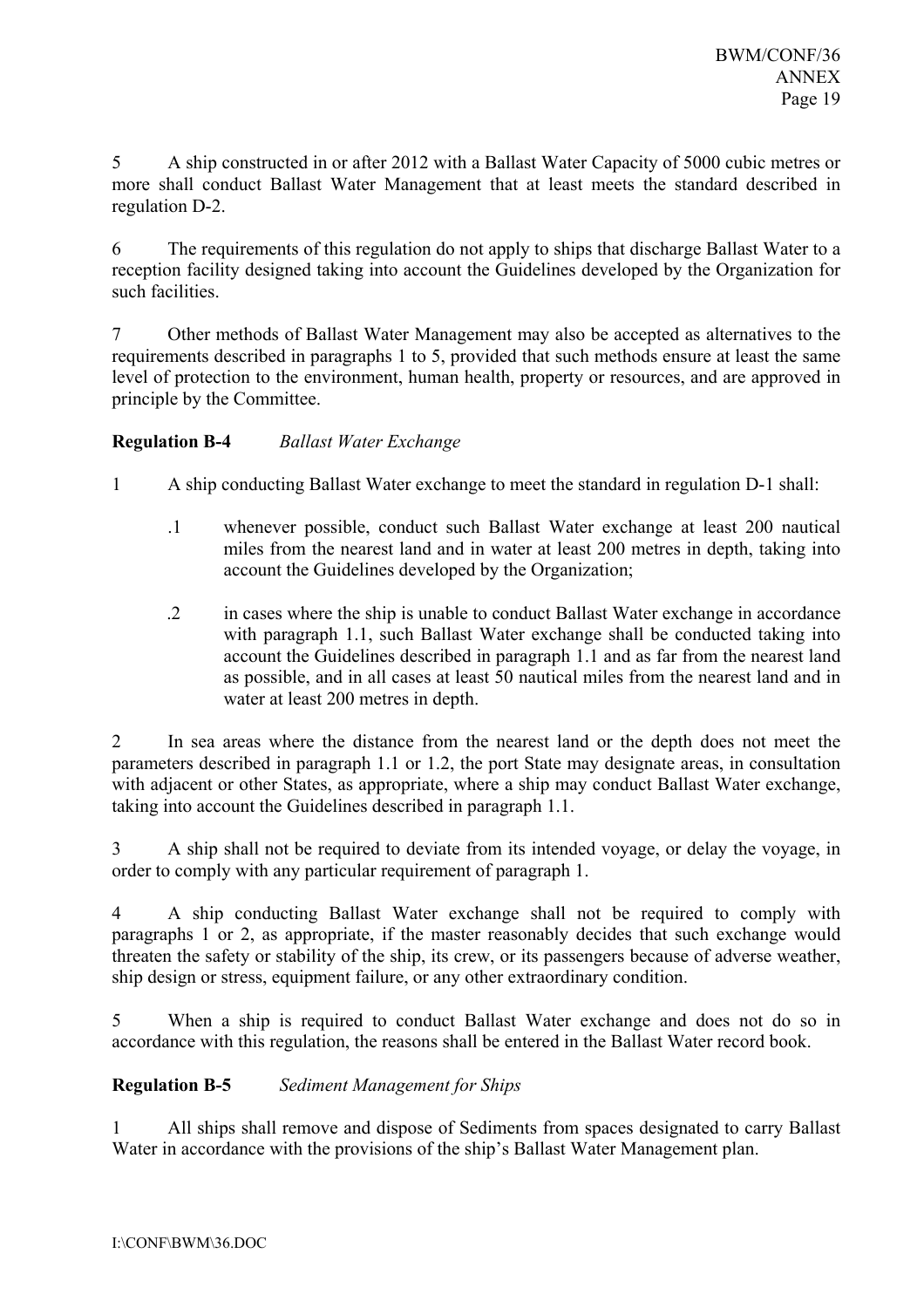5 A ship constructed in or after 2012 with a Ballast Water Capacity of 5000 cubic metres or more shall conduct Ballast Water Management that at least meets the standard described in regulation D-2.

6 The requirements of this regulation do not apply to ships that discharge Ballast Water to a reception facility designed taking into account the Guidelines developed by the Organization for such facilities.

7 Other methods of Ballast Water Management may also be accepted as alternatives to the requirements described in paragraphs 1 to 5, provided that such methods ensure at least the same level of protection to the environment, human health, property or resources, and are approved in principle by the Committee.

#### **Regulation B-4** *Ballast Water Exchange*

- 1 A ship conducting Ballast Water exchange to meet the standard in regulation D-1 shall:
	- .1 whenever possible, conduct such Ballast Water exchange at least 200 nautical miles from the nearest land and in water at least 200 metres in depth, taking into account the Guidelines developed by the Organization;
	- .2 in cases where the ship is unable to conduct Ballast Water exchange in accordance with paragraph 1.1, such Ballast Water exchange shall be conducted taking into account the Guidelines described in paragraph 1.1 and as far from the nearest land as possible, and in all cases at least 50 nautical miles from the nearest land and in water at least 200 metres in depth.

2 In sea areas where the distance from the nearest land or the depth does not meet the parameters described in paragraph 1.1 or 1.2, the port State may designate areas, in consultation with adjacent or other States, as appropriate, where a ship may conduct Ballast Water exchange, taking into account the Guidelines described in paragraph 1.1.

3 A ship shall not be required to deviate from its intended voyage, or delay the voyage, in order to comply with any particular requirement of paragraph 1.

4 A ship conducting Ballast Water exchange shall not be required to comply with paragraphs 1 or 2, as appropriate, if the master reasonably decides that such exchange would threaten the safety or stability of the ship, its crew, or its passengers because of adverse weather, ship design or stress, equipment failure, or any other extraordinary condition.

5 When a ship is required to conduct Ballast Water exchange and does not do so in accordance with this regulation, the reasons shall be entered in the Ballast Water record book.

## **Regulation B-5** *Sediment Management for Ships*

1 All ships shall remove and dispose of Sediments from spaces designated to carry Ballast Water in accordance with the provisions of the ship's Ballast Water Management plan.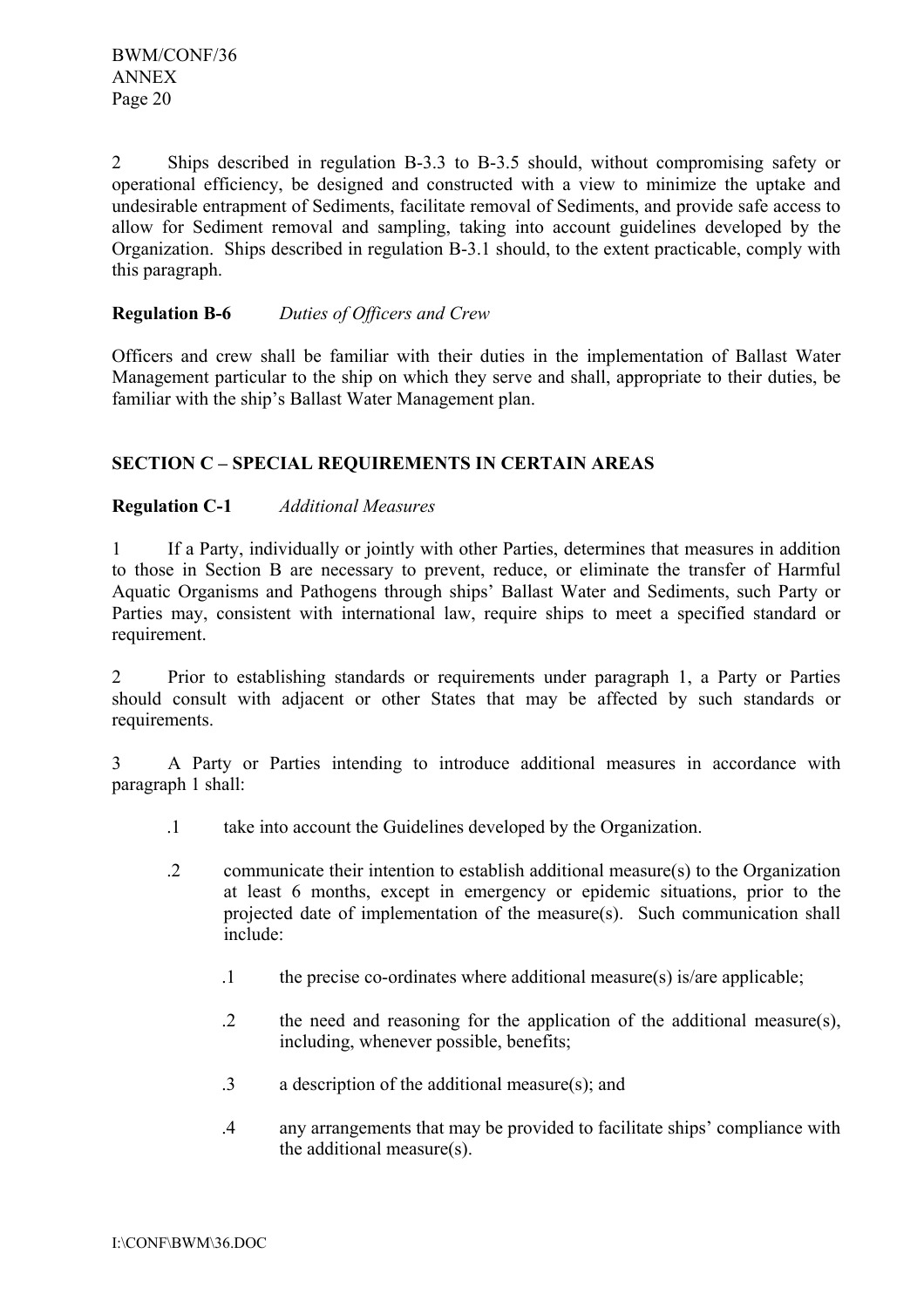2 Ships described in regulation B-3.3 to B-3.5 should, without compromising safety or operational efficiency, be designed and constructed with a view to minimize the uptake and undesirable entrapment of Sediments, facilitate removal of Sediments, and provide safe access to allow for Sediment removal and sampling, taking into account guidelines developed by the Organization. Ships described in regulation B-3.1 should, to the extent practicable, comply with this paragraph.

## **Regulation B-6** *Duties of Officers and Crew*

Officers and crew shall be familiar with their duties in the implementation of Ballast Water Management particular to the ship on which they serve and shall, appropriate to their duties, be familiar with the ship's Ballast Water Management plan.

## **SECTION C - SPECIAL REQUIREMENTS IN CERTAIN AREAS**

## **Regulation C-1** *Additional Measures*

1 If a Party, individually or jointly with other Parties, determines that measures in addition to those in Section B are necessary to prevent, reduce, or eliminate the transfer of Harmful Aquatic Organisms and Pathogens through ships' Ballast Water and Sediments, such Party or Parties may, consistent with international law, require ships to meet a specified standard or requirement.

2 Prior to establishing standards or requirements under paragraph 1, a Party or Parties should consult with adjacent or other States that may be affected by such standards or requirements.

3 A Party or Parties intending to introduce additional measures in accordance with paragraph 1 shall:

- .1 take into account the Guidelines developed by the Organization.
- .2 communicate their intention to establish additional measure(s) to the Organization at least 6 months, except in emergency or epidemic situations, prior to the projected date of implementation of the measure(s). Such communication shall include:
	- .1 the precise co-ordinates where additional measure(s) is/are applicable;
	- .2 the need and reasoning for the application of the additional measure(s), including, whenever possible, benefits;
	- .3 a description of the additional measure(s); and
	- .4 any arrangements that may be provided to facilitate ships' compliance with the additional measure(s).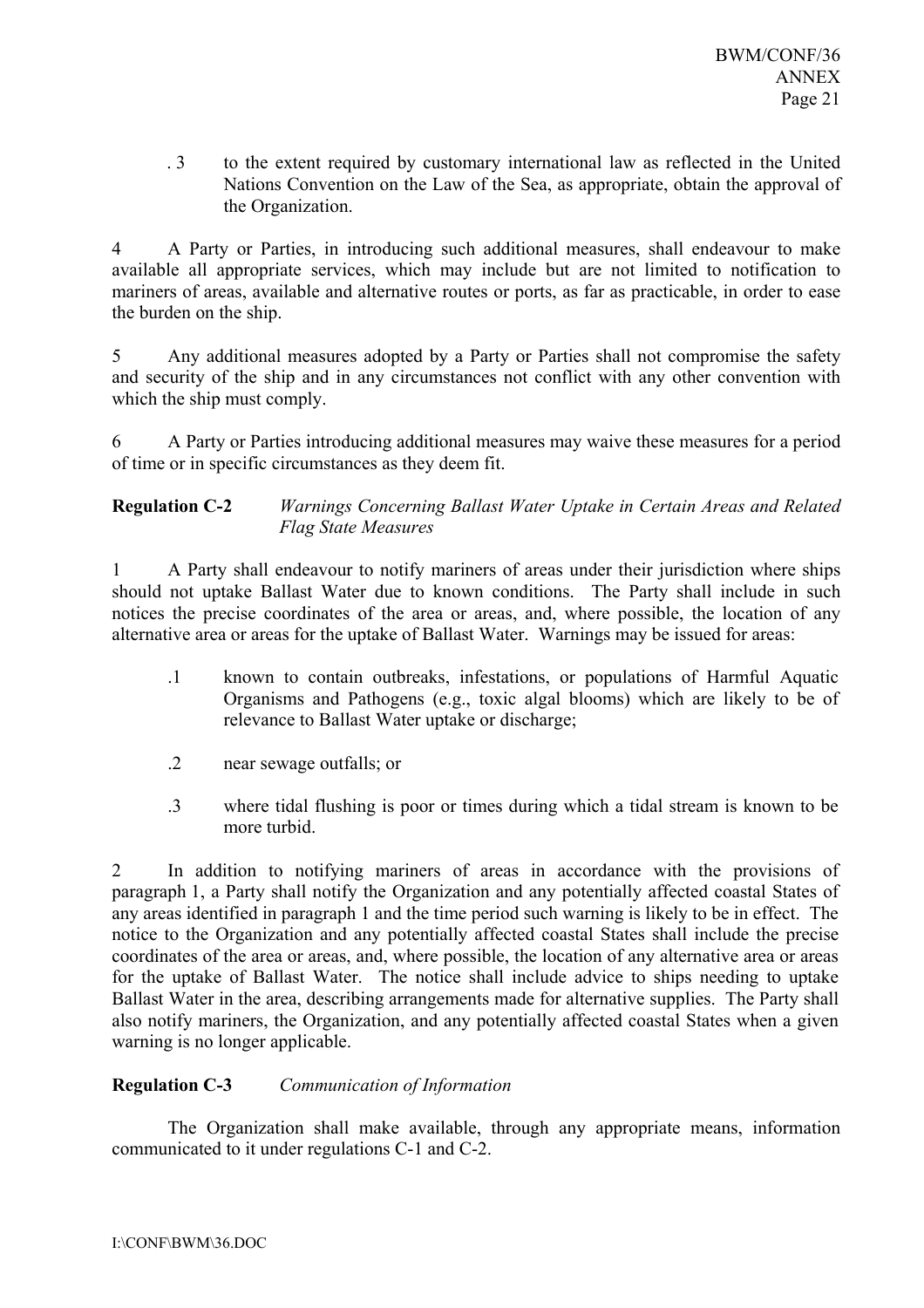. 3 to the extent required by customary international law as reflected in the United Nations Convention on the Law of the Sea, as appropriate, obtain the approval of the Organization.

4 A Party or Parties, in introducing such additional measures, shall endeavour to make available all appropriate services, which may include but are not limited to notification to mariners of areas, available and alternative routes or ports, as far as practicable, in order to ease the burden on the ship.

5 Any additional measures adopted by a Party or Parties shall not compromise the safety and security of the ship and in any circumstances not conflict with any other convention with which the ship must comply.

6 A Party or Parties introducing additional measures may waive these measures for a period of time or in specific circumstances as they deem fit.

**Regulation C-2** *Warnings Concerning Ballast Water Uptake in Certain Areas and Related Flag State Measures* 

1 A Party shall endeavour to notify mariners of areas under their jurisdiction where ships should not uptake Ballast Water due to known conditions. The Party shall include in such notices the precise coordinates of the area or areas, and, where possible, the location of any alternative area or areas for the uptake of Ballast Water. Warnings may be issued for areas:

- .1 known to contain outbreaks, infestations, or populations of Harmful Aquatic Organisms and Pathogens (e.g., toxic algal blooms) which are likely to be of relevance to Ballast Water uptake or discharge;
- .2 near sewage outfalls; or
- .3 where tidal flushing is poor or times during which a tidal stream is known to be more turbid.

2 In addition to notifying mariners of areas in accordance with the provisions of paragraph 1, a Party shall notify the Organization and any potentially affected coastal States of any areas identified in paragraph 1 and the time period such warning is likely to be in effect. The notice to the Organization and any potentially affected coastal States shall include the precise coordinates of the area or areas, and, where possible, the location of any alternative area or areas for the uptake of Ballast Water. The notice shall include advice to ships needing to uptake Ballast Water in the area, describing arrangements made for alternative supplies. The Party shall also notify mariners, the Organization, and any potentially affected coastal States when a given warning is no longer applicable.

# **Regulation C-3** *Communication of Information*

The Organization shall make available, through any appropriate means, information communicated to it under regulations C-1 and C-2.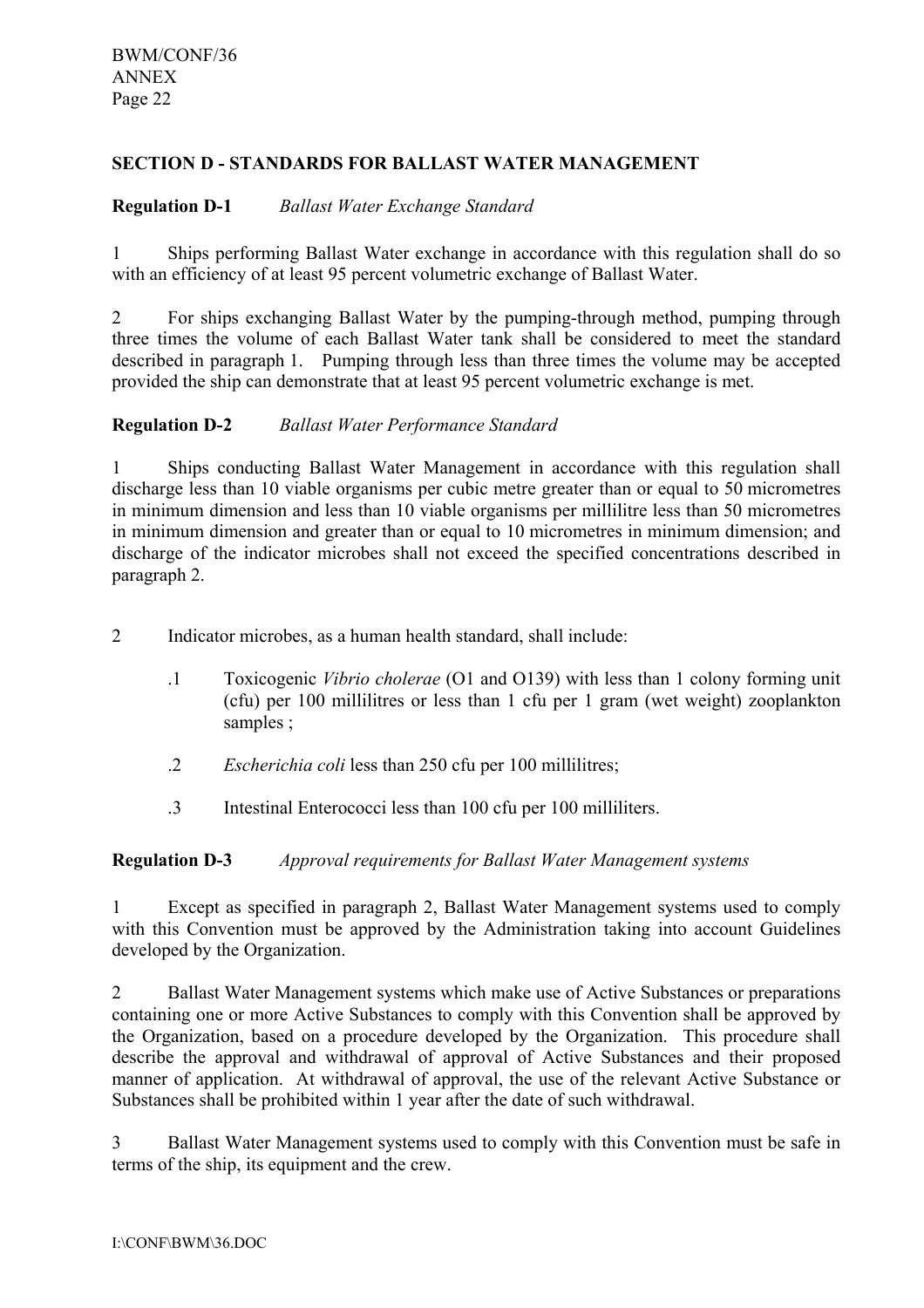## **SECTION D - STANDARDS FOR BALLAST WATER MANAGEMENT**

## **Regulation D-1** *Ballast Water Exchange Standard*

1 Ships performing Ballast Water exchange in accordance with this regulation shall do so with an efficiency of at least 95 percent volumetric exchange of Ballast Water.

2 For ships exchanging Ballast Water by the pumping-through method, pumping through three times the volume of each Ballast Water tank shall be considered to meet the standard described in paragraph 1. Pumping through less than three times the volume may be accepted provided the ship can demonstrate that at least 95 percent volumetric exchange is met.

## **Regulation D-2** *Ballast Water Performance Standard*

1 Ships conducting Ballast Water Management in accordance with this regulation shall discharge less than 10 viable organisms per cubic metre greater than or equal to 50 micrometres in minimum dimension and less than 10 viable organisms per millilitre less than 50 micrometres in minimum dimension and greater than or equal to 10 micrometres in minimum dimension; and discharge of the indicator microbes shall not exceed the specified concentrations described in paragraph 2.

2 Indicator microbes, as a human health standard, shall include:

- .1 Toxicogenic *Vibrio cholerae* (O1 and O139) with less than 1 colony forming unit (cfu) per 100 millilitres or less than 1 cfu per 1 gram (wet weight) zooplankton samples ;
- .2 *Escherichia coli* less than 250 cfu per 100 millilitres;
- .3 Intestinal Enterococci less than 100 cfu per 100 milliliters.

## **Regulation D-3** *Approval requirements for Ballast Water Management systems*

1 Except as specified in paragraph 2, Ballast Water Management systems used to comply with this Convention must be approved by the Administration taking into account Guidelines developed by the Organization.

2 Ballast Water Management systems which make use of Active Substances or preparations containing one or more Active Substances to comply with this Convention shall be approved by the Organization, based on a procedure developed by the Organization. This procedure shall describe the approval and withdrawal of approval of Active Substances and their proposed manner of application. At withdrawal of approval, the use of the relevant Active Substance or Substances shall be prohibited within 1 year after the date of such withdrawal.

3 Ballast Water Management systems used to comply with this Convention must be safe in terms of the ship, its equipment and the crew.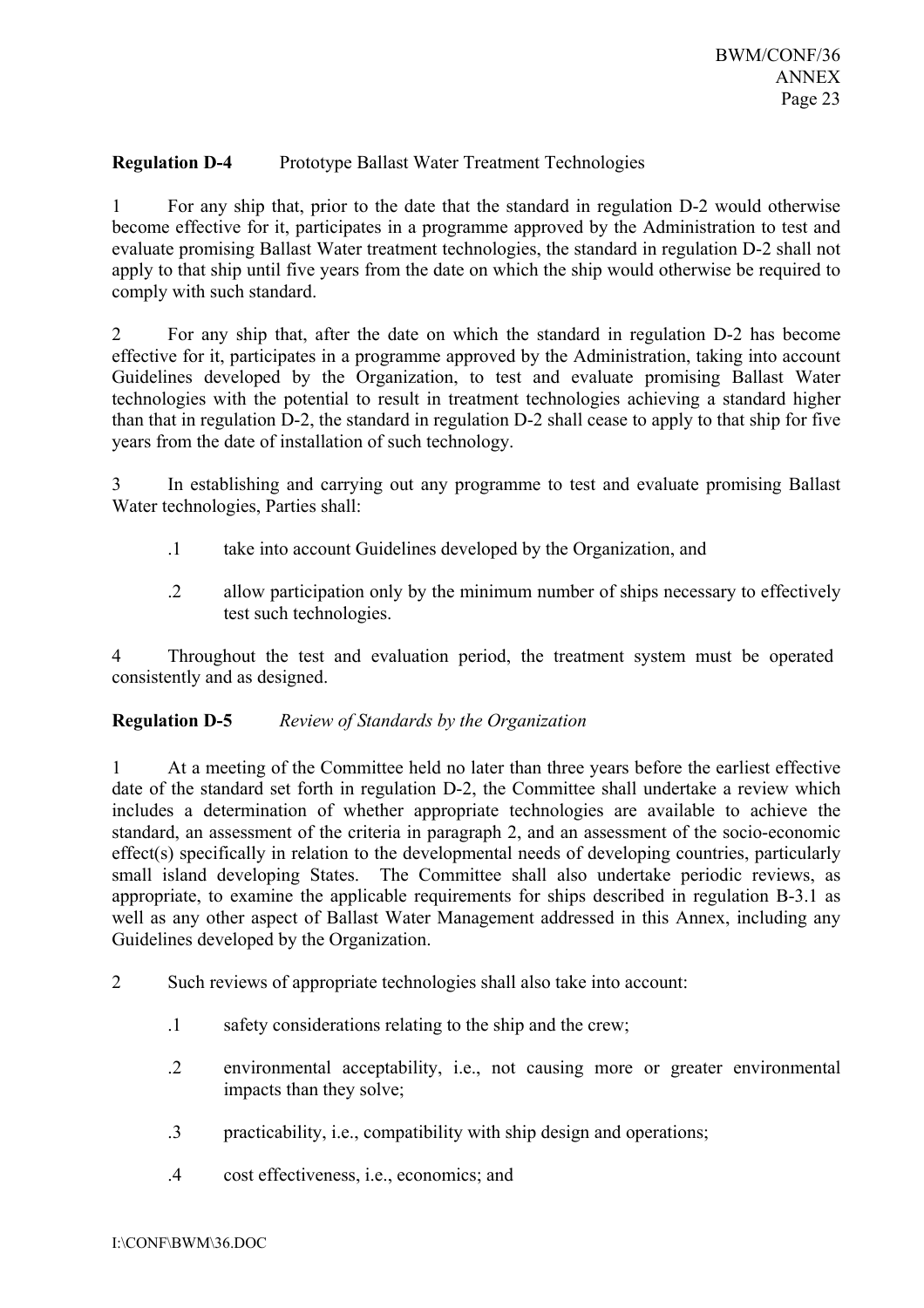## **Regulation D-4** Prototype Ballast Water Treatment Technologies

1 For any ship that, prior to the date that the standard in regulation D-2 would otherwise become effective for it, participates in a programme approved by the Administration to test and evaluate promising Ballast Water treatment technologies, the standard in regulation D-2 shall not apply to that ship until five years from the date on which the ship would otherwise be required to comply with such standard.

2 For any ship that, after the date on which the standard in regulation D-2 has become effective for it, participates in a programme approved by the Administration, taking into account Guidelines developed by the Organization, to test and evaluate promising Ballast Water technologies with the potential to result in treatment technologies achieving a standard higher than that in regulation D-2, the standard in regulation D-2 shall cease to apply to that ship for five years from the date of installation of such technology.

3 In establishing and carrying out any programme to test and evaluate promising Ballast Water technologies, Parties shall:

- .1 take into account Guidelines developed by the Organization, and
- .2 allow participation only by the minimum number of ships necessary to effectively test such technologies.

4 Throughout the test and evaluation period, the treatment system must be operated consistently and as designed.

## **Regulation D-5** *Review of Standards by the Organization*

1 At a meeting of the Committee held no later than three years before the earliest effective date of the standard set forth in regulation D-2, the Committee shall undertake a review which includes a determination of whether appropriate technologies are available to achieve the standard, an assessment of the criteria in paragraph 2, and an assessment of the socio-economic effect(s) specifically in relation to the developmental needs of developing countries, particularly small island developing States. The Committee shall also undertake periodic reviews, as appropriate, to examine the applicable requirements for ships described in regulation B-3.1 as well as any other aspect of Ballast Water Management addressed in this Annex, including any Guidelines developed by the Organization.

- 2 Such reviews of appropriate technologies shall also take into account:
	- .1 safety considerations relating to the ship and the crew;
	- .2 environmental acceptability, i.e., not causing more or greater environmental impacts than they solve;
	- .3 practicability, i.e., compatibility with ship design and operations;
	- .4 cost effectiveness, i.e., economics; and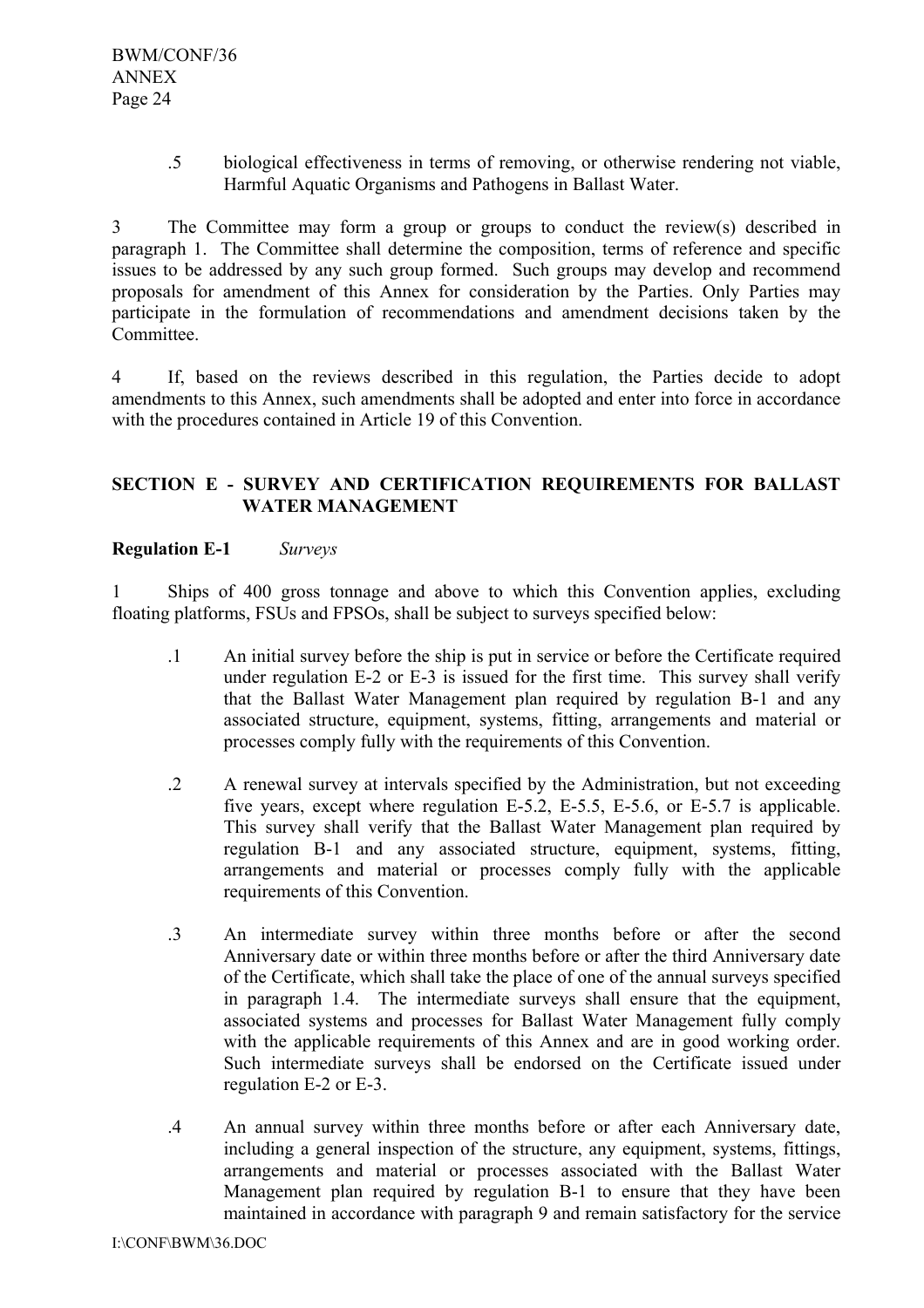.5 biological effectiveness in terms of removing, or otherwise rendering not viable, Harmful Aquatic Organisms and Pathogens in Ballast Water.

3 The Committee may form a group or groups to conduct the review(s) described in paragraph 1. The Committee shall determine the composition, terms of reference and specific issues to be addressed by any such group formed. Such groups may develop and recommend proposals for amendment of this Annex for consideration by the Parties. Only Parties may participate in the formulation of recommendations and amendment decisions taken by the **Committee** 

4 If, based on the reviews described in this regulation, the Parties decide to adopt amendments to this Annex, such amendments shall be adopted and enter into force in accordance with the procedures contained in Article 19 of this Convention.

## **SECTION E - SURVEY AND CERTIFICATION REQUIREMENTS FOR BALLAST WATER MANAGEMENT**

#### **Regulation E-1** *Surveys*

1 Ships of 400 gross tonnage and above to which this Convention applies, excluding floating platforms, FSUs and FPSOs, shall be subject to surveys specified below:

- .1 An initial survey before the ship is put in service or before the Certificate required under regulation E-2 or E-3 is issued for the first time. This survey shall verify that the Ballast Water Management plan required by regulation B-1 and any associated structure, equipment, systems, fitting, arrangements and material or processes comply fully with the requirements of this Convention.
- .2 A renewal survey at intervals specified by the Administration, but not exceeding five years, except where regulation E-5.2, E-5.5, E-5.6, or E-5.7 is applicable. This survey shall verify that the Ballast Water Management plan required by regulation B-1 and any associated structure, equipment, systems, fitting, arrangements and material or processes comply fully with the applicable requirements of this Convention.
- .3 An intermediate survey within three months before or after the second Anniversary date or within three months before or after the third Anniversary date of the Certificate, which shall take the place of one of the annual surveys specified in paragraph 1.4. The intermediate surveys shall ensure that the equipment, associated systems and processes for Ballast Water Management fully comply with the applicable requirements of this Annex and are in good working order. Such intermediate surveys shall be endorsed on the Certificate issued under regulation E-2 or E-3.
- .4 An annual survey within three months before or after each Anniversary date, including a general inspection of the structure, any equipment, systems, fittings, arrangements and material or processes associated with the Ballast Water Management plan required by regulation B-1 to ensure that they have been maintained in accordance with paragraph 9 and remain satisfactory for the service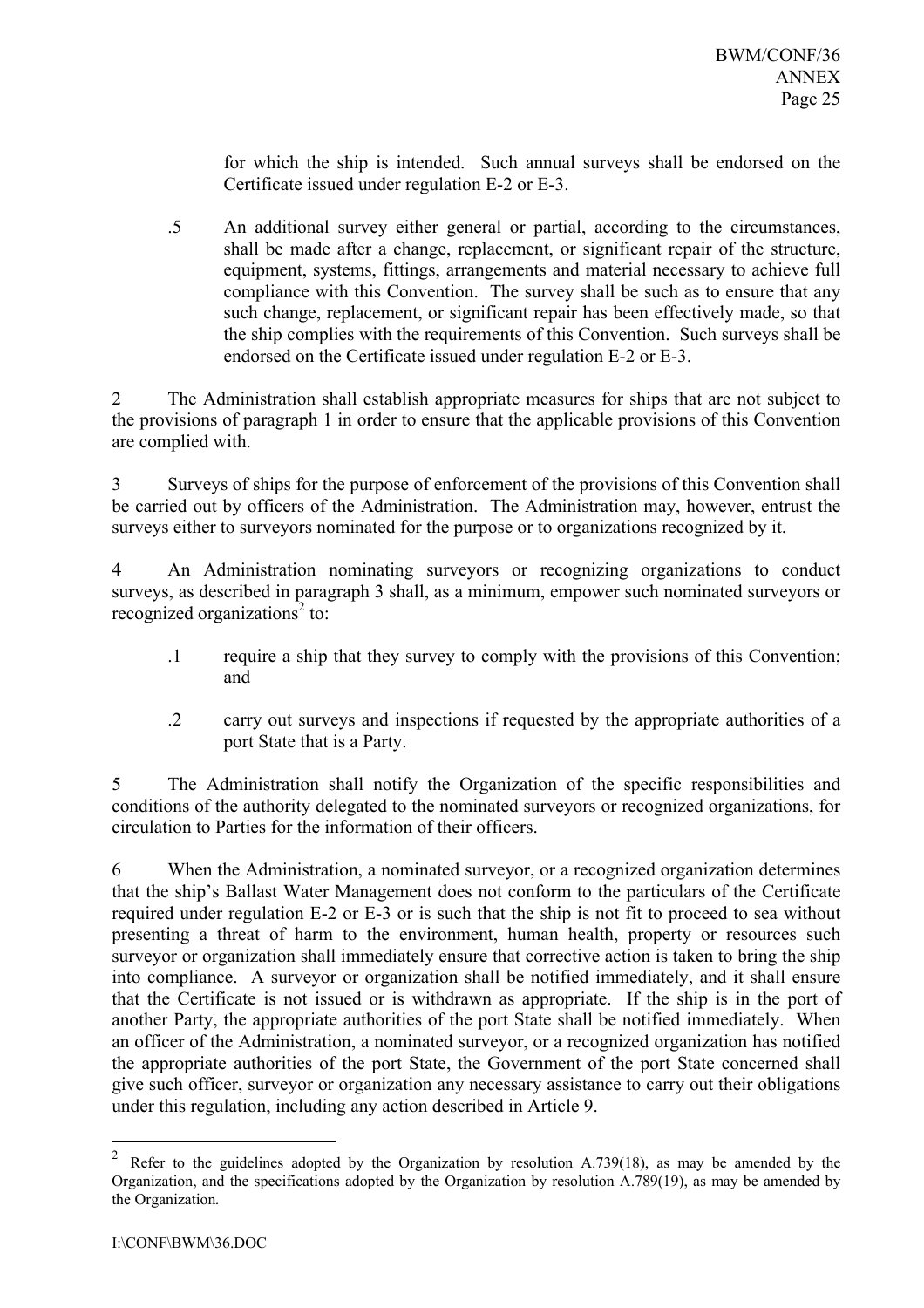for which the ship is intended. Such annual surveys shall be endorsed on the Certificate issued under regulation E-2 or E-3.

.5 An additional survey either general or partial, according to the circumstances, shall be made after a change, replacement, or significant repair of the structure, equipment, systems, fittings, arrangements and material necessary to achieve full compliance with this Convention. The survey shall be such as to ensure that any such change, replacement, or significant repair has been effectively made, so that the ship complies with the requirements of this Convention. Such surveys shall be endorsed on the Certificate issued under regulation E-2 or E-3.

2 The Administration shall establish appropriate measures for ships that are not subject to the provisions of paragraph 1 in order to ensure that the applicable provisions of this Convention are complied with.

3 Surveys of ships for the purpose of enforcement of the provisions of this Convention shall be carried out by officers of the Administration. The Administration may, however, entrust the surveys either to surveyors nominated for the purpose or to organizations recognized by it.

4 An Administration nominating surveyors or recognizing organizations to conduct surveys, as described in paragraph 3 shall, as a minimum, empower such nominated surveyors or recognized organizations<sup>2</sup> to:

- .1 require a ship that they survey to comply with the provisions of this Convention; and
- .2 carry out surveys and inspections if requested by the appropriate authorities of a port State that is a Party.

5 The Administration shall notify the Organization of the specific responsibilities and conditions of the authority delegated to the nominated surveyors or recognized organizations, for circulation to Parties for the information of their officers.

6 When the Administration, a nominated surveyor, or a recognized organization determines that the ship's Ballast Water Management does not conform to the particulars of the Certificate required under regulation E-2 or E-3 or is such that the ship is not fit to proceed to sea without presenting a threat of harm to the environment, human health, property or resources such surveyor or organization shall immediately ensure that corrective action is taken to bring the ship into compliance. A surveyor or organization shall be notified immediately, and it shall ensure that the Certificate is not issued or is withdrawn as appropriate. If the ship is in the port of another Party, the appropriate authorities of the port State shall be notified immediately. When an officer of the Administration, a nominated surveyor, or a recognized organization has notified the appropriate authorities of the port State, the Government of the port State concerned shall give such officer, surveyor or organization any necessary assistance to carry out their obligations under this regulation, including any action described in Article 9.

<sup>&</sup>lt;sup>2</sup> Refer to the guidelines adopted by the Organization by resolution A.739(18), as may be amended by the Organization, and the specifications adopted by the Organization by resolution A.789(19), as may be amended by the Organization*.*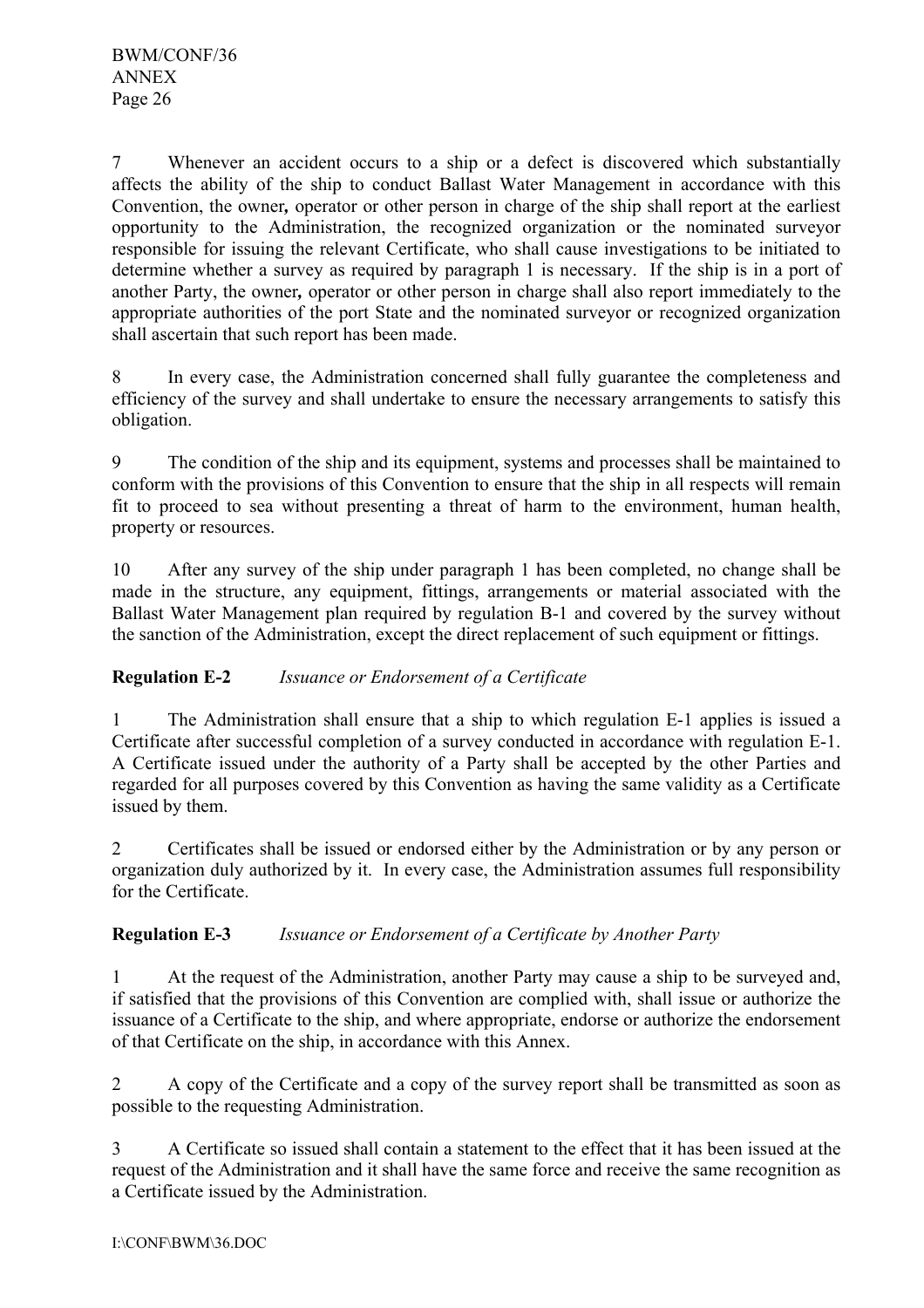7 Whenever an accident occurs to a ship or a defect is discovered which substantially affects the ability of the ship to conduct Ballast Water Management in accordance with this Convention, the owner*,* operator or other person in charge of the ship shall report at the earliest opportunity to the Administration, the recognized organization or the nominated surveyor responsible for issuing the relevant Certificate, who shall cause investigations to be initiated to determine whether a survey as required by paragraph 1 is necessary. If the ship is in a port of another Party, the owner*,* operator or other person in charge shall also report immediately to the appropriate authorities of the port State and the nominated surveyor or recognized organization shall ascertain that such report has been made.

8 In every case, the Administration concerned shall fully guarantee the completeness and efficiency of the survey and shall undertake to ensure the necessary arrangements to satisfy this obligation.

9 The condition of the ship and its equipment, systems and processes shall be maintained to conform with the provisions of this Convention to ensure that the ship in all respects will remain fit to proceed to sea without presenting a threat of harm to the environment, human health, property or resources.

10 After any survey of the ship under paragraph 1 has been completed, no change shall be made in the structure, any equipment, fittings, arrangements or material associated with the Ballast Water Management plan required by regulation B-1 and covered by the survey without the sanction of the Administration, except the direct replacement of such equipment or fittings.

# **Regulation E-2** *Issuance or Endorsement of a Certificate*

1 The Administration shall ensure that a ship to which regulation E-1 applies is issued a Certificate after successful completion of a survey conducted in accordance with regulation E-1. A Certificate issued under the authority of a Party shall be accepted by the other Parties and regarded for all purposes covered by this Convention as having the same validity as a Certificate issued by them.

2 Certificates shall be issued or endorsed either by the Administration or by any person or organization duly authorized by it. In every case, the Administration assumes full responsibility for the Certificate.

## **Regulation E-3** *Issuance or Endorsement of a Certificate by Another Party*

1 At the request of the Administration, another Party may cause a ship to be surveyed and, if satisfied that the provisions of this Convention are complied with, shall issue or authorize the issuance of a Certificate to the ship, and where appropriate, endorse or authorize the endorsement of that Certificate on the ship, in accordance with this Annex.

2 A copy of the Certificate and a copy of the survey report shall be transmitted as soon as possible to the requesting Administration.

3 A Certificate so issued shall contain a statement to the effect that it has been issued at the request of the Administration and it shall have the same force and receive the same recognition as a Certificate issued by the Administration.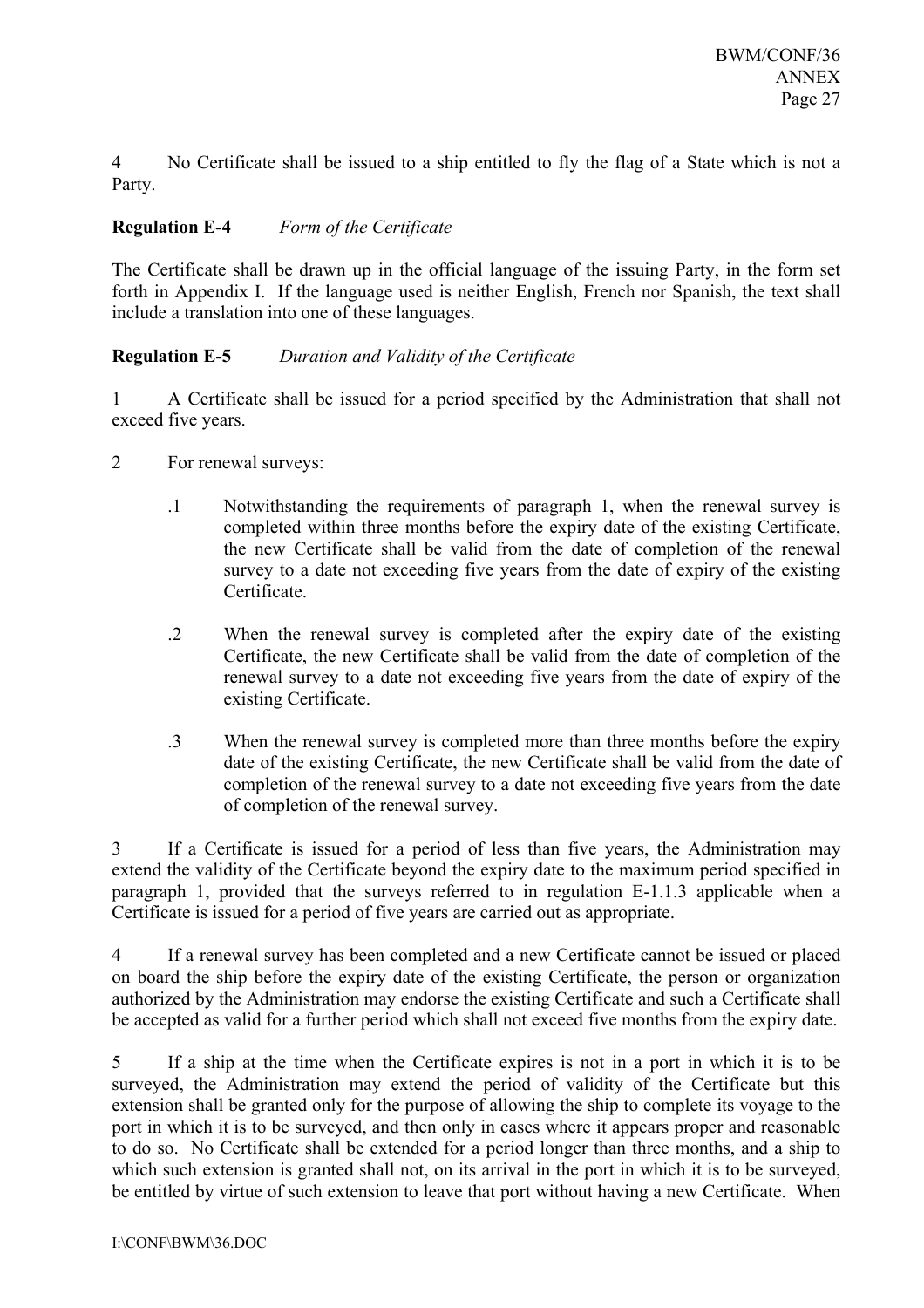4 No Certificate shall be issued to a ship entitled to fly the flag of a State which is not a Party.

## **Regulation E-4** *Form of the Certificate*

The Certificate shall be drawn up in the official language of the issuing Party, in the form set forth in Appendix I. If the language used is neither English, French nor Spanish, the text shall include a translation into one of these languages.

## **Regulation E-5** *Duration and Validity of the Certificate*

1 A Certificate shall be issued for a period specified by the Administration that shall not exceed five years.

- 2 For renewal surveys:
	- .1 Notwithstanding the requirements of paragraph 1, when the renewal survey is completed within three months before the expiry date of the existing Certificate, the new Certificate shall be valid from the date of completion of the renewal survey to a date not exceeding five years from the date of expiry of the existing Certificate.
	- .2 When the renewal survey is completed after the expiry date of the existing Certificate, the new Certificate shall be valid from the date of completion of the renewal survey to a date not exceeding five years from the date of expiry of the existing Certificate.
	- .3 When the renewal survey is completed more than three months before the expiry date of the existing Certificate, the new Certificate shall be valid from the date of completion of the renewal survey to a date not exceeding five years from the date of completion of the renewal survey.

3 If a Certificate is issued for a period of less than five years, the Administration may extend the validity of the Certificate beyond the expiry date to the maximum period specified in paragraph 1, provided that the surveys referred to in regulation E-1.1.3 applicable when a Certificate is issued for a period of five years are carried out as appropriate.

4 If a renewal survey has been completed and a new Certificate cannot be issued or placed on board the ship before the expiry date of the existing Certificate, the person or organization authorized by the Administration may endorse the existing Certificate and such a Certificate shall be accepted as valid for a further period which shall not exceed five months from the expiry date.

5 If a ship at the time when the Certificate expires is not in a port in which it is to be surveyed, the Administration may extend the period of validity of the Certificate but this extension shall be granted only for the purpose of allowing the ship to complete its voyage to the port in which it is to be surveyed, and then only in cases where it appears proper and reasonable to do so. No Certificate shall be extended for a period longer than three months, and a ship to which such extension is granted shall not, on its arrival in the port in which it is to be surveyed, be entitled by virtue of such extension to leave that port without having a new Certificate. When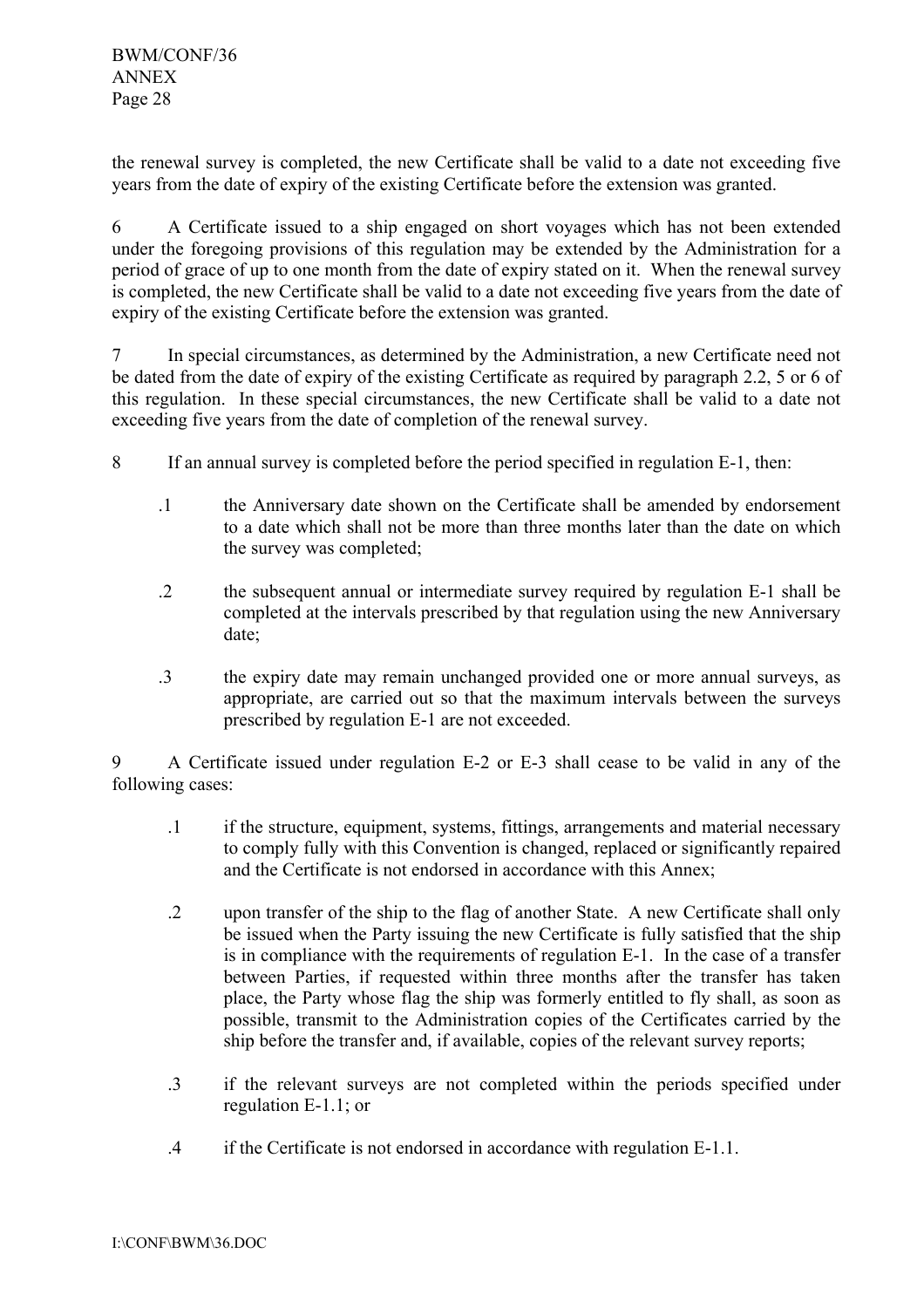BWM/CONF/36 ANNEX Page 28

the renewal survey is completed, the new Certificate shall be valid to a date not exceeding five years from the date of expiry of the existing Certificate before the extension was granted.

6 A Certificate issued to a ship engaged on short voyages which has not been extended under the foregoing provisions of this regulation may be extended by the Administration for a period of grace of up to one month from the date of expiry stated on it. When the renewal survey is completed, the new Certificate shall be valid to a date not exceeding five years from the date of expiry of the existing Certificate before the extension was granted.

7 In special circumstances, as determined by the Administration, a new Certificate need not be dated from the date of expiry of the existing Certificate as required by paragraph 2.2, 5 or 6 of this regulation. In these special circumstances, the new Certificate shall be valid to a date not exceeding five years from the date of completion of the renewal survey.

- 8 If an annual survey is completed before the period specified in regulation E-1, then:
	- .1 the Anniversary date shown on the Certificate shall be amended by endorsement to a date which shall not be more than three months later than the date on which the survey was completed;
	- .2 the subsequent annual or intermediate survey required by regulation E-1 shall be completed at the intervals prescribed by that regulation using the new Anniversary date;
	- .3 the expiry date may remain unchanged provided one or more annual surveys, as appropriate, are carried out so that the maximum intervals between the surveys prescribed by regulation E-1 are not exceeded.

9 A Certificate issued under regulation E-2 or E-3 shall cease to be valid in any of the following cases:

- .1 if the structure, equipment, systems, fittings, arrangements and material necessary to comply fully with this Convention is changed, replaced or significantly repaired and the Certificate is not endorsed in accordance with this Annex;
- .2 upon transfer of the ship to the flag of another State. A new Certificate shall only be issued when the Party issuing the new Certificate is fully satisfied that the ship is in compliance with the requirements of regulation E-1. In the case of a transfer between Parties, if requested within three months after the transfer has taken place, the Party whose flag the ship was formerly entitled to fly shall, as soon as possible, transmit to the Administration copies of the Certificates carried by the ship before the transfer and, if available, copies of the relevant survey reports;
- .3 if the relevant surveys are not completed within the periods specified under regulation E-1.1; or
- .4 if the Certificate is not endorsed in accordance with regulation E-1.1.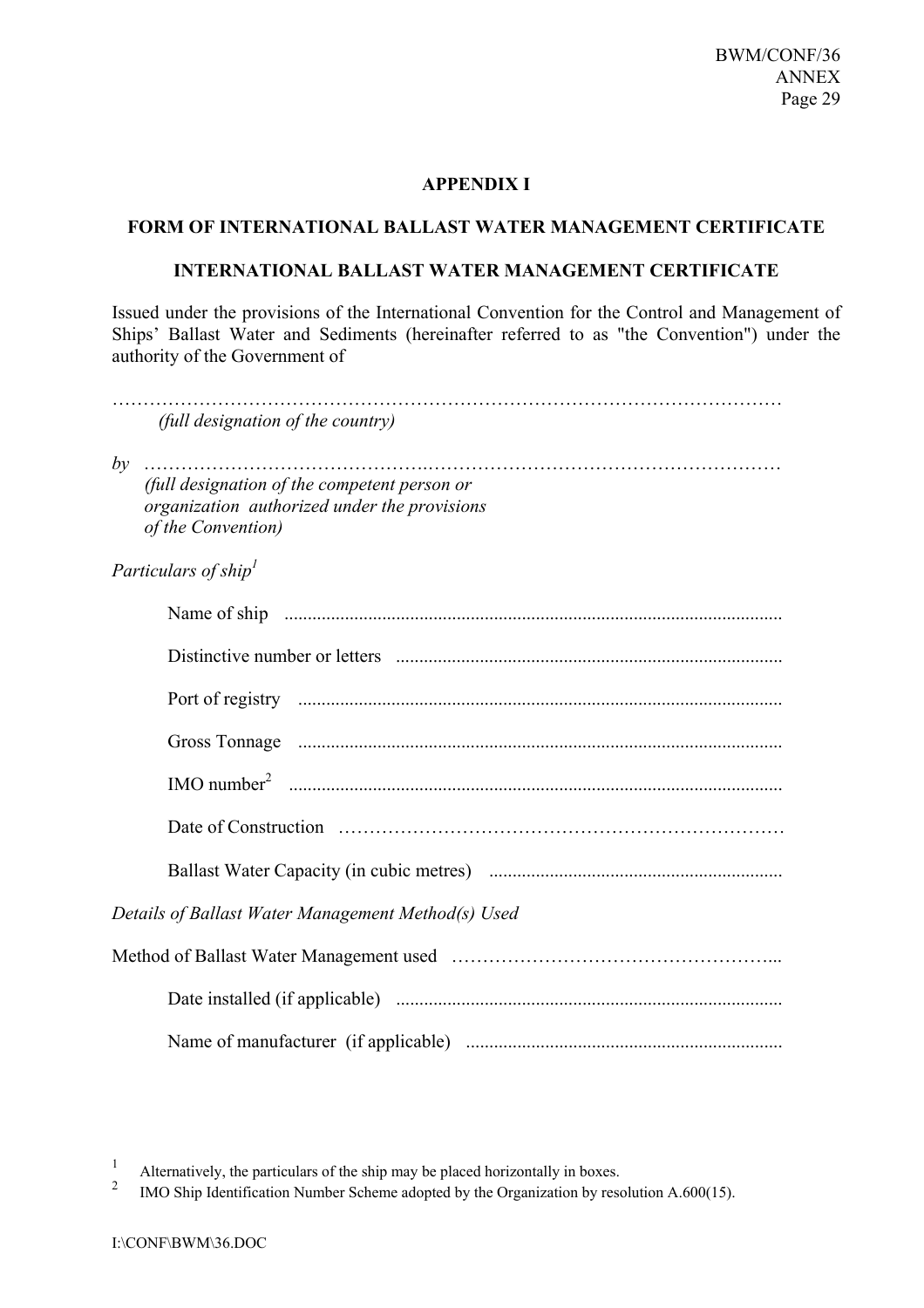#### **APPENDIX I**

#### **FORM OF INTERNATIONAL BALLAST WATER MANAGEMENT CERTIFICATE**

#### **INTERNATIONAL BALLAST WATER MANAGEMENT CERTIFICATE**

Issued under the provisions of the International Convention for the Control and Management of Ships' Ballast Water and Sediments (hereinafter referred to as "the Convention") under the authority of the Government of

……………………………………………………………………………………………… *(full designation of the country) by* ……………………………………….………………………………………………… *(full designation of the competent person or organization authorized under the provisions of the Convention) Particulars of ship1*  Name of ship ........................................................................................................... Distinctive number or letters ................................................................................... Port of registry ........................................................................................................ Gross Tonnage ........................................................................................................ IMO number 2 .......................................................................................................... Date of Construction ……………………………………………………………… Ballast Water Capacity (in cubic metres) ............................................................... *Details of Ballast Water Management Method(s) Used*  Method of Ballast Water Management used ……………………………………………... Date installed (if applicable) ................................................................................... Name of manufacturer (if applicable) ....................................................................

<sup>&</sup>lt;sup>1</sup> Alternatively, the particulars of the ship may be placed horizontally in boxes.<br><sup>2</sup> BLO SU: LL (i.e. N. 1, S.1, and 1, t. 1, and 2, and in the ship of the ship of the ship of the ship of the ship of the ship of the sh

<sup>2</sup> IMO Ship Identification Number Scheme adopted by the Organization by resolution A.600(15).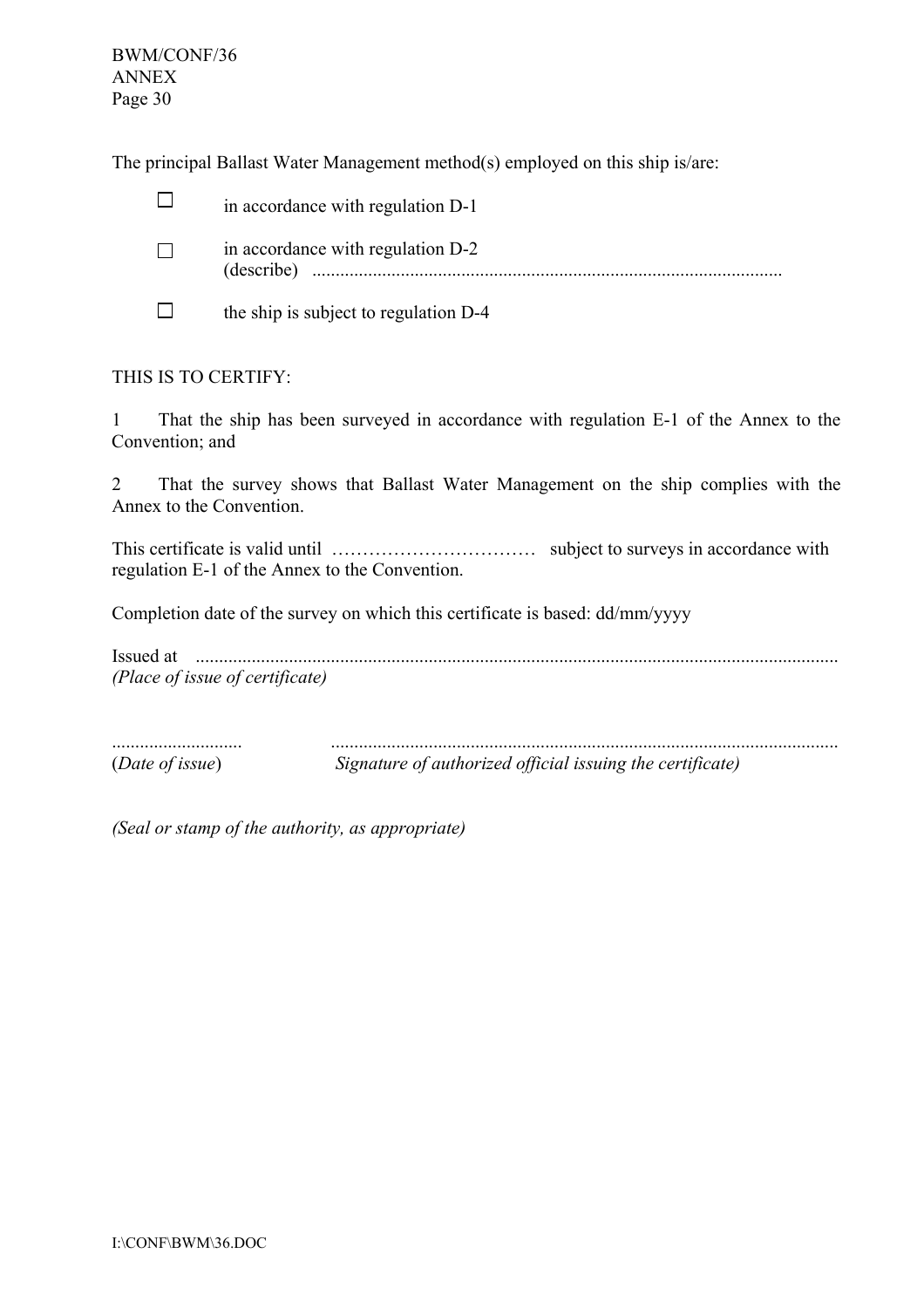BWM/CONF/36 ANNEX Page 30

The principal Ballast Water Management method(s) employed on this ship is/are:

|                                                                                                                                 | in accordance with regulation D-1 |                                                                                                                                                            |  |  |  |  |
|---------------------------------------------------------------------------------------------------------------------------------|-----------------------------------|------------------------------------------------------------------------------------------------------------------------------------------------------------|--|--|--|--|
|                                                                                                                                 | in accordance with regulation D-2 |                                                                                                                                                            |  |  |  |  |
|                                                                                                                                 |                                   | the ship is subject to regulation D-4                                                                                                                      |  |  |  |  |
| THIS IS TO CERTIFY:                                                                                                             |                                   |                                                                                                                                                            |  |  |  |  |
| That the ship has been surveyed in accordance with regulation E-1 of the Annex to the<br>1<br>Convention; and                   |                                   |                                                                                                                                                            |  |  |  |  |
| That the survey shows that Ballast Water Management on the ship complies with the<br>$\overline{2}$<br>Annex to the Convention. |                                   |                                                                                                                                                            |  |  |  |  |
| regulation E-1 of the Annex to the Convention.                                                                                  |                                   |                                                                                                                                                            |  |  |  |  |
| Completion date of the survey on which this certificate is based: dd/mm/yyyy                                                    |                                   |                                                                                                                                                            |  |  |  |  |
|                                                                                                                                 |                                   | Issued at manufactured at manufactured at manufactured at manufactured at manufactured at manufactured at $\frac{1}{2}$<br>(Place of issue of certificate) |  |  |  |  |

............................ ............................................................................................................. (*Date of issue*) *Signature of authorized official issuing the certificate)* 

*(Seal or stamp of the authority, as appropriate)*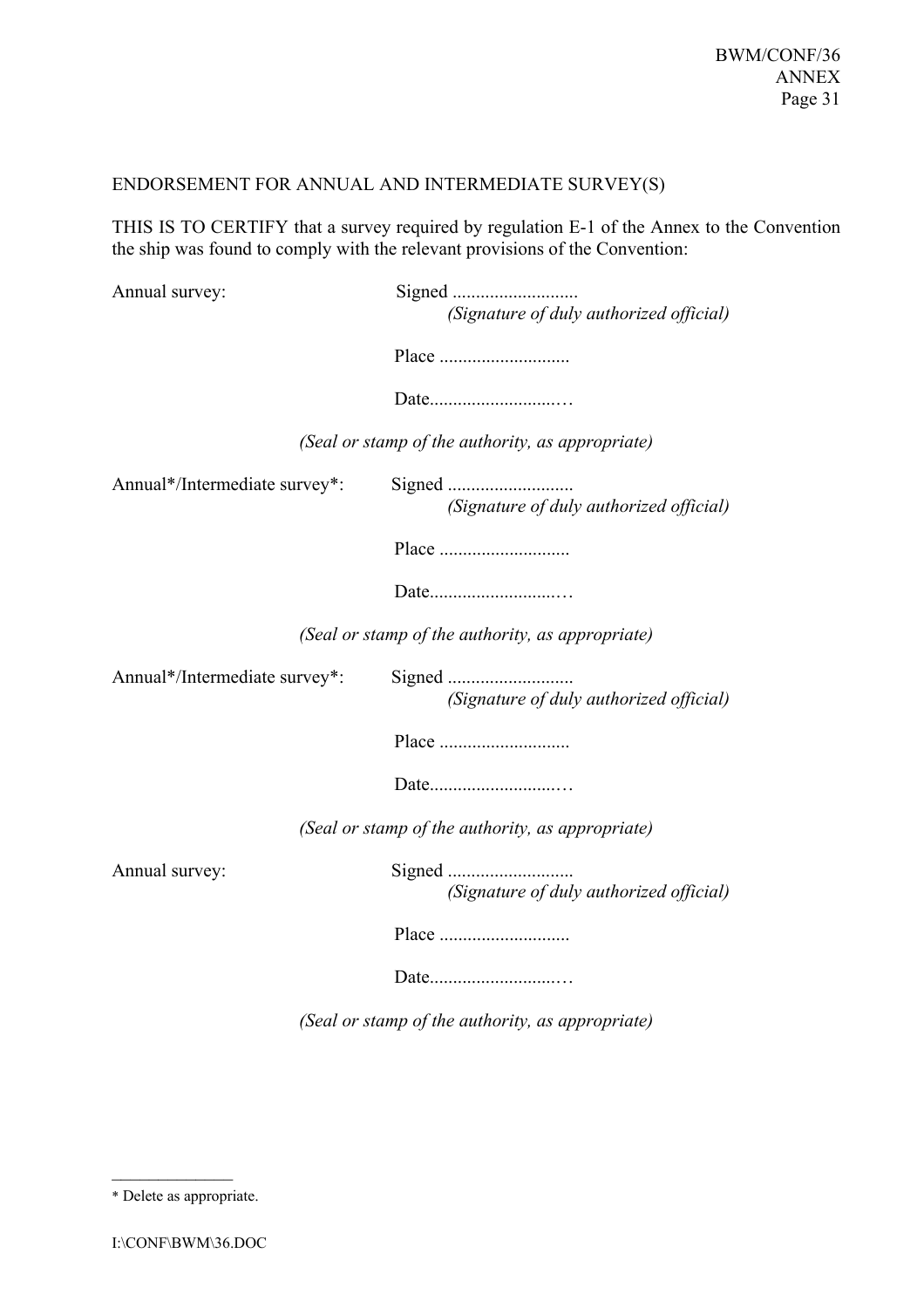## ENDORSEMENT FOR ANNUAL AND INTERMEDIATE SURVEY(S)

THIS IS TO CERTIFY that a survey required by regulation E-1 of the Annex to the Convention the ship was found to comply with the relevant provisions of the Convention:

| Annual survey:                | (Signature of duly authorized official)          |
|-------------------------------|--------------------------------------------------|
|                               |                                                  |
|                               |                                                  |
|                               | (Seal or stamp of the authority, as appropriate) |
| Annual*/Intermediate survey*: | (Signature of duly authorized official)          |
|                               |                                                  |
|                               |                                                  |
|                               | (Seal or stamp of the authority, as appropriate) |
| Annual*/Intermediate survey*: | (Signature of duly authorized official)          |
|                               |                                                  |
|                               |                                                  |
|                               | (Seal or stamp of the authority, as appropriate) |
| Annual survey:                |                                                  |
|                               | (Signature of duly authorized official)          |
|                               |                                                  |
|                               |                                                  |
|                               | (Seal or stamp of the authority, as appropriate) |

 $\frac{1}{2}$ 

<sup>\*</sup> Delete as appropriate.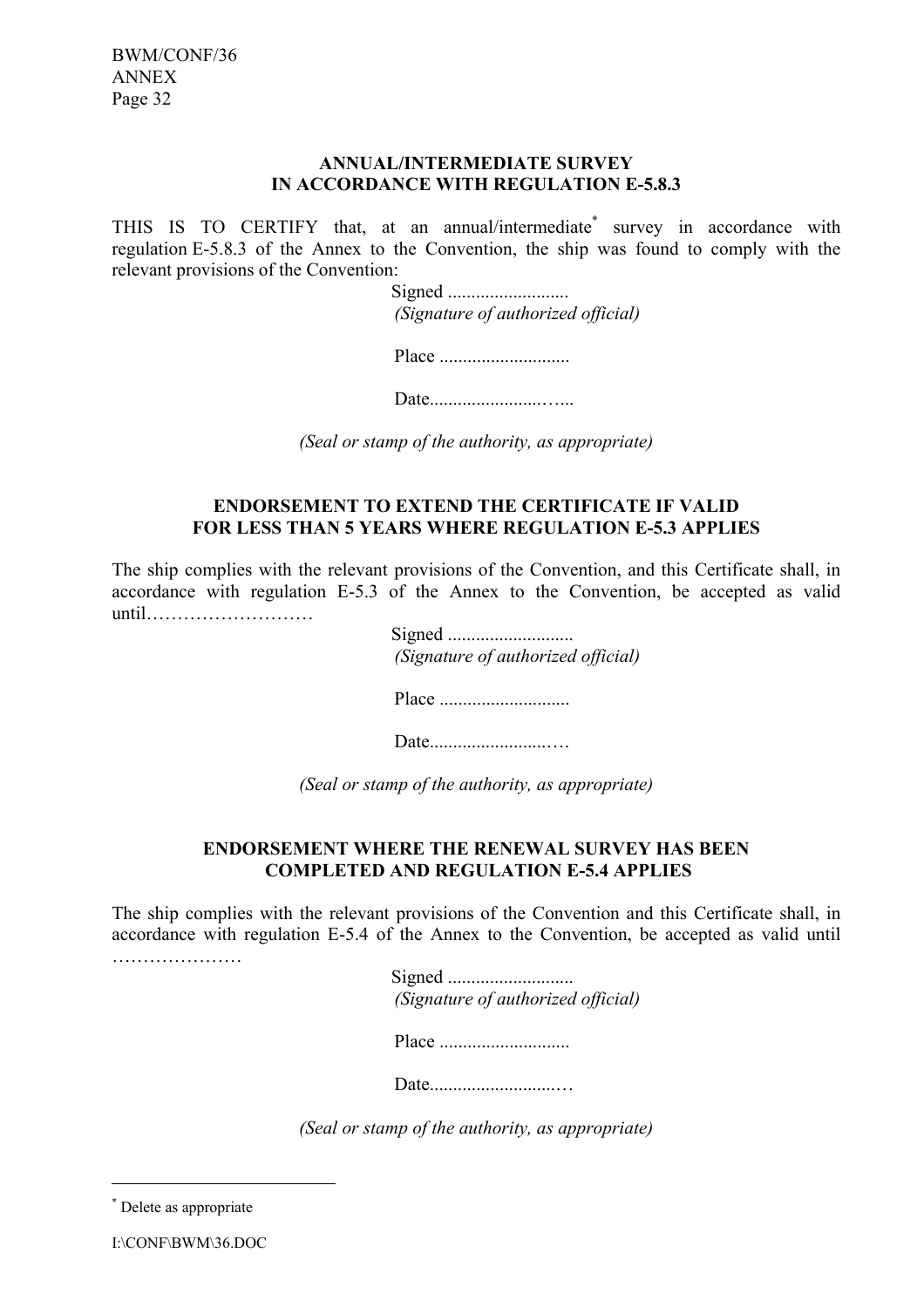#### **ANNUAL/INTERMEDIATE SURVEY IN ACCORDANCE WITH REGULATION E-5.8.3**

THIS IS TO CERTIFY that, at an annual/intermediate\* survey in accordance with regulation E-5.8.3 of the Annex to the Convention, the ship was found to comply with the relevant provisions of the Convention:

> Signed .......................... *(Signature of authorized official)*

Place ............................

Date.................................

*(Seal or stamp of the authority, as appropriate)* 

#### **ENDORSEMENT TO EXTEND THE CERTIFICATE IF VALID FOR LESS THAN 5 YEARS WHERE REGULATION E-5.3 APPLIES**

The ship complies with the relevant provisions of the Convention, and this Certificate shall, in accordance with regulation E-5.3 of the Annex to the Convention, be accepted as valid until………………………

> Signed ........................... *(Signature of authorized official)*

Place ............................

Date.........................….

*(Seal or stamp of the authority, as appropriate)* 

#### **ENDORSEMENT WHERE THE RENEWAL SURVEY HAS BEEN COMPLETED AND REGULATION E-5.4 APPLIES**

The ship complies with the relevant provisions of the Convention and this Certificate shall, in accordance with regulation E-5.4 of the Annex to the Convention, be accepted as valid until

…………………

| (Signature of authorized official) |  |
|------------------------------------|--|

Place ............................

Date...........................…

*(Seal or stamp of the authority, as appropriate)* 

<sup>\*</sup> Delete as appropriate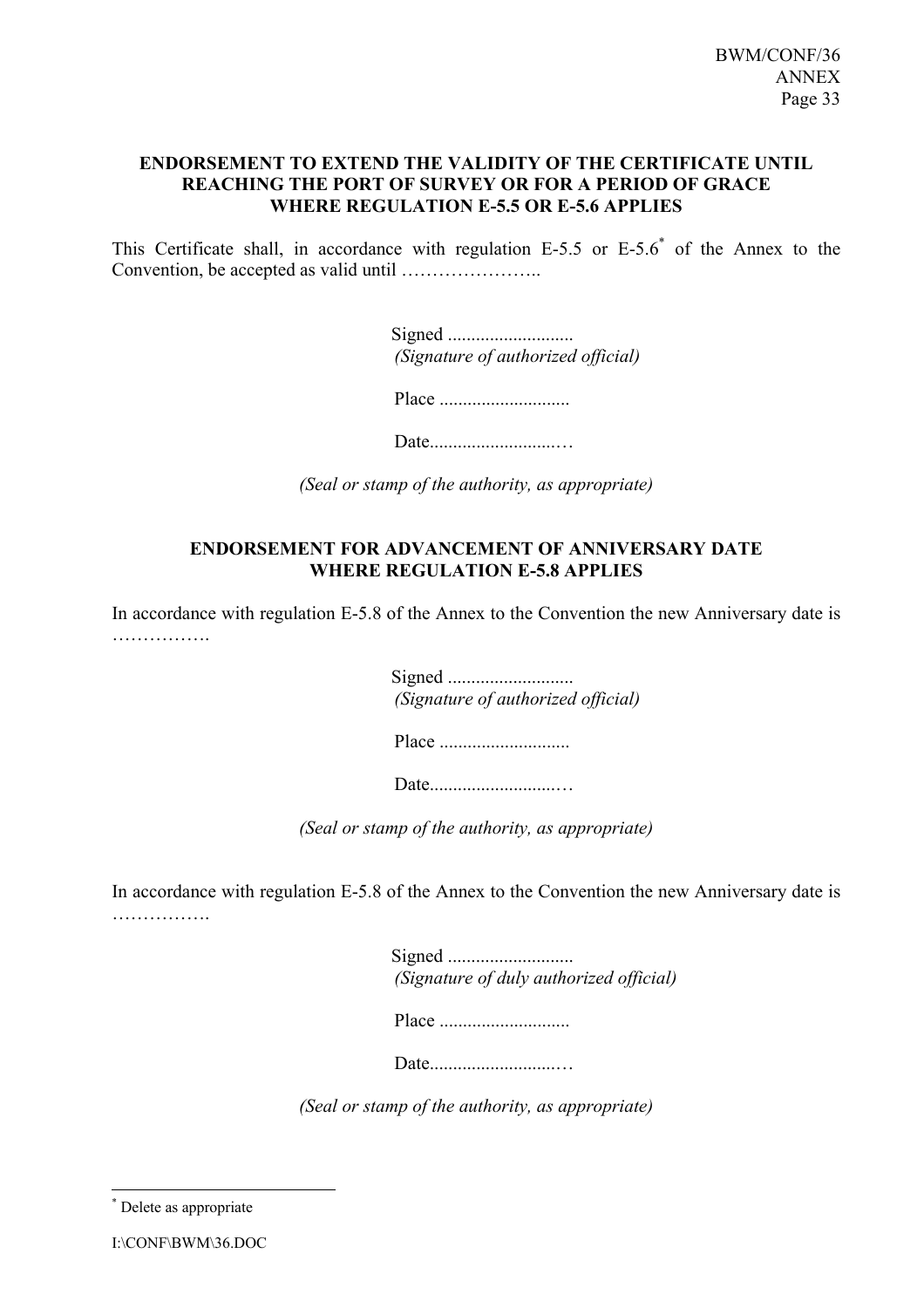#### **ENDORSEMENT TO EXTEND THE VALIDITY OF THE CERTIFICATE UNTIL REACHING THE PORT OF SURVEY OR FOR A PERIOD OF GRACE WHERE REGULATION E-5.5 OR E-5.6 APPLIES**

This Certificate shall, in accordance with regulation E-5.5 or E-5.6<sup>\*</sup> of the Annex to the Convention, be accepted as valid until …………………..

> Signed ........................... *(Signature of authorized official)*

Place ............................

Date...........................…

*(Seal or stamp of the authority, as appropriate)* 

#### **ENDORSEMENT FOR ADVANCEMENT OF ANNIVERSARY DATE WHERE REGULATION E-5.8 APPLIES**

In accordance with regulation E-5.8 of the Annex to the Convention the new Anniversary date is ………………

> Signed ........................... *(Signature of authorized official)*

Place ............................

Date...........................…

*(Seal or stamp of the authority, as appropriate)* 

In accordance with regulation E-5.8 of the Annex to the Convention the new Anniversary date is …………….

> Signed ........................... *(Signature of duly authorized official)*

Place ............................

Date...........................…

*(Seal or stamp of the authority, as appropriate)* 

<sup>\*</sup> Delete as appropriate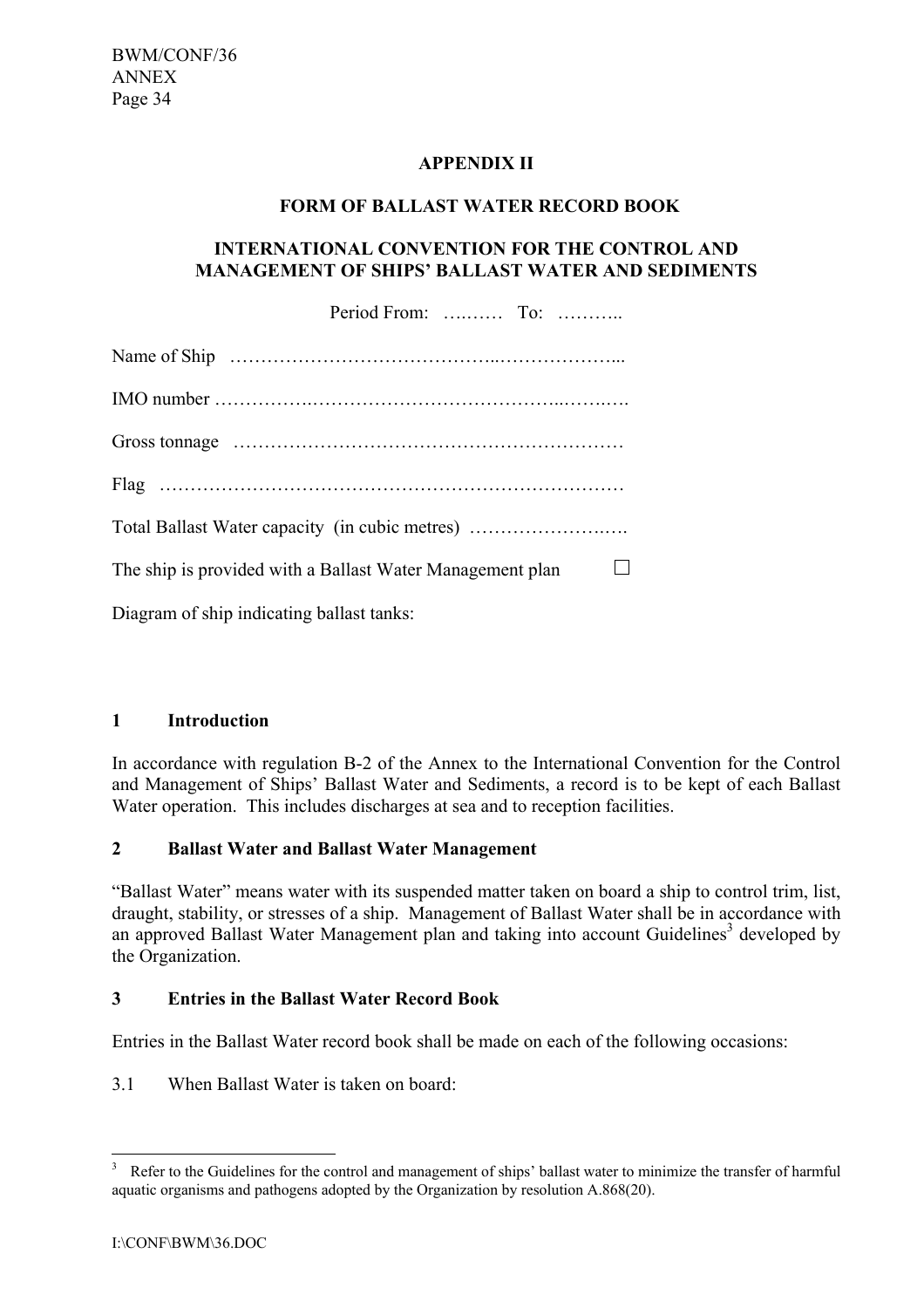#### **APPENDIX II**

#### **FORM OF BALLAST WATER RECORD BOOK**

#### **INTERNATIONAL CONVENTION FOR THE CONTROL AND MANAGEMENT OF SHIPS' BALLAST WATER AND SEDIMENTS**

| Period From:  To:                                         |  |
|-----------------------------------------------------------|--|
|                                                           |  |
|                                                           |  |
|                                                           |  |
|                                                           |  |
| Total Ballast Water capacity (in cubic metres)            |  |
| The ship is provided with a Ballast Water Management plan |  |
| Diagram of ship indicating ballast tanks:                 |  |

#### **1 Introduction**

In accordance with regulation B-2 of the Annex to the International Convention for the Control and Management of Ships' Ballast Water and Sediments, a record is to be kept of each Ballast Water operation. This includes discharges at sea and to reception facilities.

#### **2 Ballast Water and Ballast Water Management**

—Ballast Water" means water with its suspended matter taken on board a ship to control trim, list, draught, stability, or stresses of a ship. Management of Ballast Water shall be in accordance with an approved Ballast Water Management plan and taking into account Guidelines<sup>3</sup> developed by the Organization.

#### **3 Entries in the Ballast Water Record Book**

Entries in the Ballast Water record book shall be made on each of the following occasions:

3.1 When Ballast Water is taken on board:

<sup>&</sup>lt;sup>3</sup> Refer to the Guidelines for the control and management of ships' ballast water to minimize the transfer of harmful aquatic organisms and pathogens adopted by the Organization by resolution A.868(20).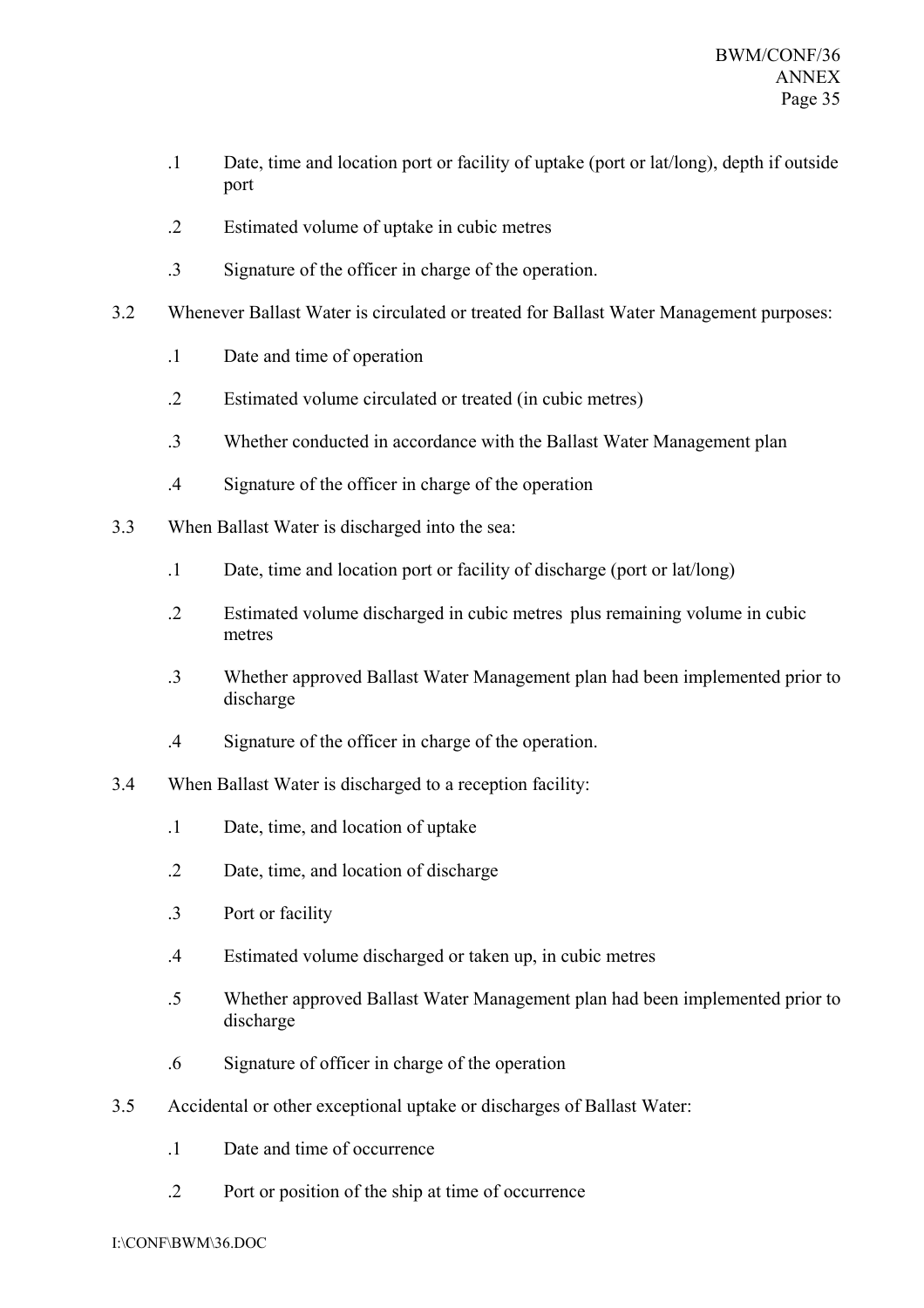- .1 Date, time and location port or facility of uptake (port or lat/long), depth if outside port
- .2 Estimated volume of uptake in cubic metres
- .3 Signature of the officer in charge of the operation.
- 3.2 Whenever Ballast Water is circulated or treated for Ballast Water Management purposes:
	- .1 Date and time of operation
	- .2 Estimated volume circulated or treated (in cubic metres)
	- .3 Whether conducted in accordance with the Ballast Water Management plan
	- .4 Signature of the officer in charge of the operation
- 3.3 When Ballast Water is discharged into the sea:
	- .1 Date, time and location port or facility of discharge (port or lat/long)
	- .2 Estimated volume discharged in cubic metres plus remaining volume in cubic metres
	- .3 Whether approved Ballast Water Management plan had been implemented prior to discharge
	- .4 Signature of the officer in charge of the operation.
- 3.4 When Ballast Water is discharged to a reception facility:
	- .1 Date, time, and location of uptake
	- .2 Date, time, and location of discharge
	- .3 Port or facility
	- .4 Estimated volume discharged or taken up, in cubic metres
	- .5 Whether approved Ballast Water Management plan had been implemented prior to discharge
	- .6 Signature of officer in charge of the operation
- 3.5 Accidental or other exceptional uptake or discharges of Ballast Water:
	- .1 Date and time of occurrence
	- .2 Port or position of the ship at time of occurrence